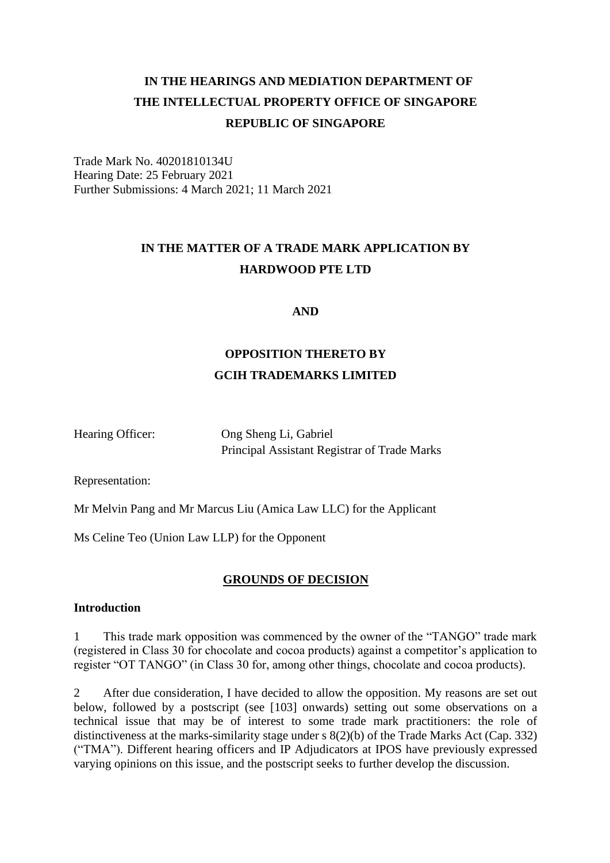# **IN THE HEARINGS AND MEDIATION DEPARTMENT OF THE INTELLECTUAL PROPERTY OFFICE OF SINGAPORE REPUBLIC OF SINGAPORE**

Trade Mark No. 40201810134U Hearing Date: 25 February 2021 Further Submissions: 4 March 2021; 11 March 2021

# **IN THE MATTER OF A TRADE MARK APPLICATION BY HARDWOOD PTE LTD**

**AND**

# **OPPOSITION THERETO BY GCIH TRADEMARKS LIMITED**

Hearing Officer: Ong Sheng Li, Gabriel Principal Assistant Registrar of Trade Marks

Representation:

Mr Melvin Pang and Mr Marcus Liu (Amica Law LLC) for the Applicant

Ms Celine Teo (Union Law LLP) for the Opponent

# **GROUNDS OF DECISION**

# **Introduction**

1 This trade mark opposition was commenced by the owner of the "TANGO" trade mark (registered in Class 30 for chocolate and cocoa products) against a competitor's application to register "OT TANGO" (in Class 30 for, among other things, chocolate and cocoa products).

2 After due consideration, I have decided to allow the opposition. My reasons are set out below, followed by a postscript (see [103] onwards) setting out some observations on a technical issue that may be of interest to some trade mark practitioners: the role of distinctiveness at the marks-similarity stage under s 8(2)(b) of the Trade Marks Act (Cap. 332) ("TMA"). Different hearing officers and IP Adjudicators at IPOS have previously expressed varying opinions on this issue, and the postscript seeks to further develop the discussion.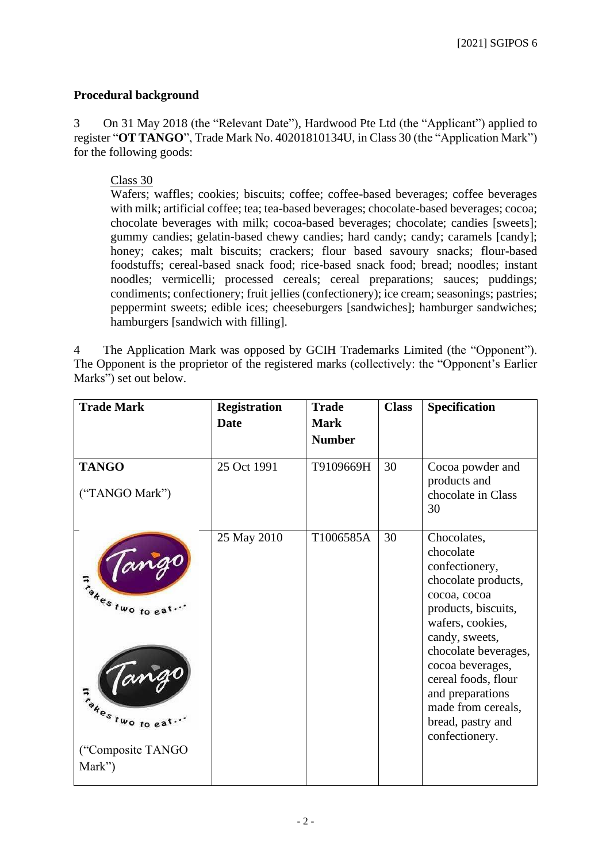## **Procedural background**

3 On 31 May 2018 (the "Relevant Date"), Hardwood Pte Ltd (the "Applicant") applied to register "**OT TANGO**", Trade Mark No. 40201810134U, in Class 30 (the "Application Mark") for the following goods:

Class 30

Wafers; waffles; cookies; biscuits; coffee; coffee-based beverages; coffee beverages with milk; artificial coffee; tea; tea-based beverages; chocolate-based beverages; cocoa; chocolate beverages with milk; cocoa-based beverages; chocolate; candies [sweets]; gummy candies; gelatin-based chewy candies; hard candy; candy; caramels [candy]; honey; cakes; malt biscuits; crackers; flour based savoury snacks; flour-based foodstuffs; cereal-based snack food; rice-based snack food; bread; noodles; instant noodles; vermicelli; processed cereals; cereal preparations; sauces; puddings; condiments; confectionery; fruit jellies (confectionery); ice cream; seasonings; pastries; peppermint sweets; edible ices; cheeseburgers [sandwiches]; hamburger sandwiches; hamburgers [sandwich with filling].

4 The Application Mark was opposed by GCIH Trademarks Limited (the "Opponent"). The Opponent is the proprietor of the registered marks (collectively: the "Opponent's Earlier Marks") set out below.

| <b>Trade Mark</b>                              | <b>Registration</b> | <b>Trade</b>  | <b>Class</b> | Specification                                                                                                                                                                                                                                               |
|------------------------------------------------|---------------------|---------------|--------------|-------------------------------------------------------------------------------------------------------------------------------------------------------------------------------------------------------------------------------------------------------------|
|                                                | <b>Date</b>         | <b>Mark</b>   |              |                                                                                                                                                                                                                                                             |
|                                                |                     | <b>Number</b> |              |                                                                                                                                                                                                                                                             |
| <b>TANGO</b><br>("TANGO Mark")                 | 25 Oct 1991         | T9109669H     | 30           | Cocoa powder and<br>products and<br>chocolate in Class<br>30                                                                                                                                                                                                |
| Jango<br>Findes two to eat<br>Jango            | 25 May 2010         | T1006585A     | 30           | Chocolates,<br>chocolate<br>confectionery,<br>chocolate products,<br>cocoa, cocoa<br>products, biscuits,<br>wafers, cookies,<br>candy, sweets,<br>chocolate beverages,<br>cocoa beverages,<br>cereal foods, flour<br>and preparations<br>made from cereals, |
| Thesitwo to eat<br>("Composite TANGO<br>Mark") |                     |               |              | bread, pastry and<br>confectionery.                                                                                                                                                                                                                         |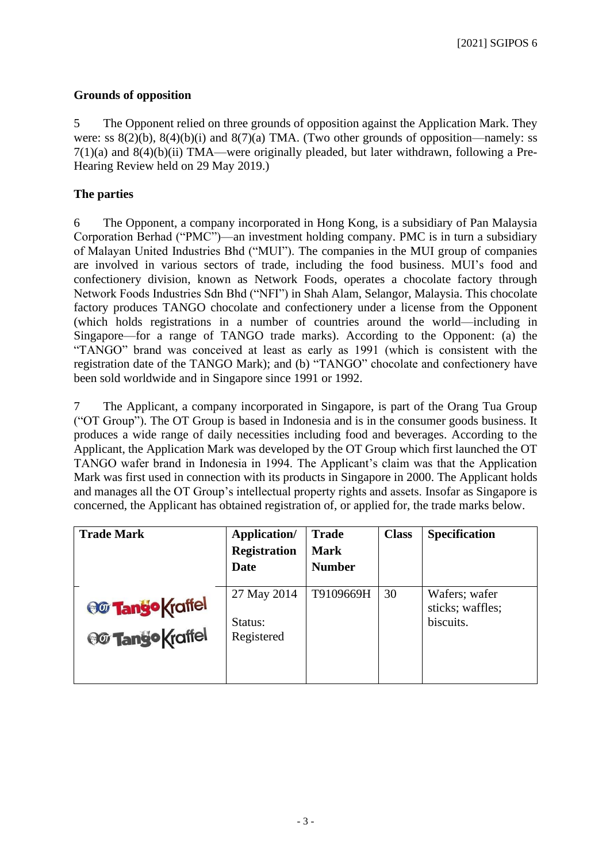# **Grounds of opposition**

5 The Opponent relied on three grounds of opposition against the Application Mark. They were: ss  $8(2)(b)$ ,  $8(4)(b)(i)$  and  $8(7)(a)$  TMA. (Two other grounds of opposition—namely: ss 7(1)(a) and 8(4)(b)(ii) TMA—were originally pleaded, but later withdrawn, following a Pre-Hearing Review held on 29 May 2019.)

# **The parties**

6 The Opponent, a company incorporated in Hong Kong, is a subsidiary of Pan Malaysia Corporation Berhad ("PMC")—an investment holding company. PMC is in turn a subsidiary of Malayan United Industries Bhd ("MUI"). The companies in the MUI group of companies are involved in various sectors of trade, including the food business. MUI's food and confectionery division, known as Network Foods, operates a chocolate factory through Network Foods Industries Sdn Bhd ("NFI") in Shah Alam, Selangor, Malaysia. This chocolate factory produces TANGO chocolate and confectionery under a license from the Opponent (which holds registrations in a number of countries around the world—including in Singapore—for a range of TANGO trade marks). According to the Opponent: (a) the "TANGO" brand was conceived at least as early as 1991 (which is consistent with the registration date of the TANGO Mark); and (b) "TANGO" chocolate and confectionery have been sold worldwide and in Singapore since 1991 or 1992.

7 The Applicant, a company incorporated in Singapore, is part of the Orang Tua Group ("OT Group"). The OT Group is based in Indonesia and is in the consumer goods business. It produces a wide range of daily necessities including food and beverages. According to the Applicant, the Application Mark was developed by the OT Group which first launched the OT TANGO wafer brand in Indonesia in 1994. The Applicant's claim was that the Application Mark was first used in connection with its products in Singapore in 2000. The Applicant holds and manages all the OT Group's intellectual property rights and assets. Insofar as Singapore is concerned, the Applicant has obtained registration of, or applied for, the trade marks below.

| <b>Trade Mark</b>                         | <b>Application/</b><br><b>Registration</b><br>Date | <b>Trade</b><br><b>Mark</b><br><b>Number</b> | <b>Class</b> | <b>Specification</b>                           |
|-------------------------------------------|----------------------------------------------------|----------------------------------------------|--------------|------------------------------------------------|
| <b>@ Tango Kraffel</b><br>@ Tango Kraffel | 27 May 2014<br>Status:<br>Registered               | T9109669H                                    | 30           | Wafers; wafer<br>sticks; waffles;<br>biscuits. |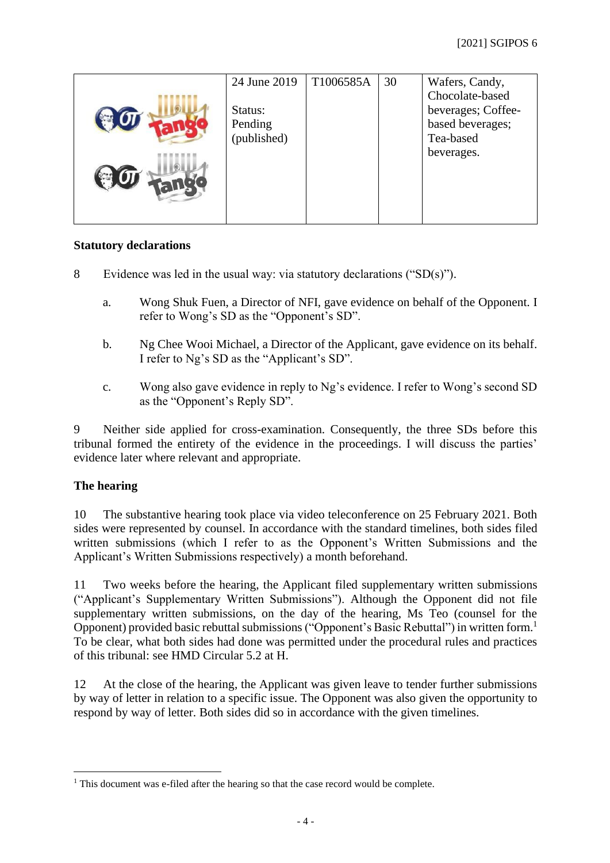| 24 June 2019 | T1006585A | 30 | Wafers, Candy,     |
|--------------|-----------|----|--------------------|
|              |           |    | Chocolate-based    |
| Status:      |           |    | beverages; Coffee- |
| Pending      |           |    | based beverages;   |
| (published)  |           |    | Tea-based          |
|              |           |    | beverages.         |
|              |           |    |                    |
|              |           |    |                    |
|              |           |    |                    |
|              |           |    |                    |

## **Statutory declarations**

- 8 Evidence was led in the usual way: via statutory declarations ("SD(s)").
	- a. Wong Shuk Fuen, a Director of NFI, gave evidence on behalf of the Opponent. I refer to Wong's SD as the "Opponent's SD".
	- b. Ng Chee Wooi Michael, a Director of the Applicant, gave evidence on its behalf. I refer to Ng's SD as the "Applicant's SD".
	- c. Wong also gave evidence in reply to Ng's evidence. I refer to Wong's second SD as the "Opponent's Reply SD".

9 Neither side applied for cross-examination. Consequently, the three SDs before this tribunal formed the entirety of the evidence in the proceedings. I will discuss the parties' evidence later where relevant and appropriate.

## **The hearing**

10 The substantive hearing took place via video teleconference on 25 February 2021. Both sides were represented by counsel. In accordance with the standard timelines, both sides filed written submissions (which I refer to as the Opponent's Written Submissions and the Applicant's Written Submissions respectively) a month beforehand.

11 Two weeks before the hearing, the Applicant filed supplementary written submissions ("Applicant's Supplementary Written Submissions"). Although the Opponent did not file supplementary written submissions, on the day of the hearing, Ms Teo (counsel for the Opponent) provided basic rebuttal submissions ("Opponent's Basic Rebuttal") in written form.<sup>1</sup> To be clear, what both sides had done was permitted under the procedural rules and practices of this tribunal: see HMD Circular 5.2 at H.

12 At the close of the hearing, the Applicant was given leave to tender further submissions by way of letter in relation to a specific issue. The Opponent was also given the opportunity to respond by way of letter. Both sides did so in accordance with the given timelines.

<sup>&</sup>lt;sup>1</sup> This document was e-filed after the hearing so that the case record would be complete.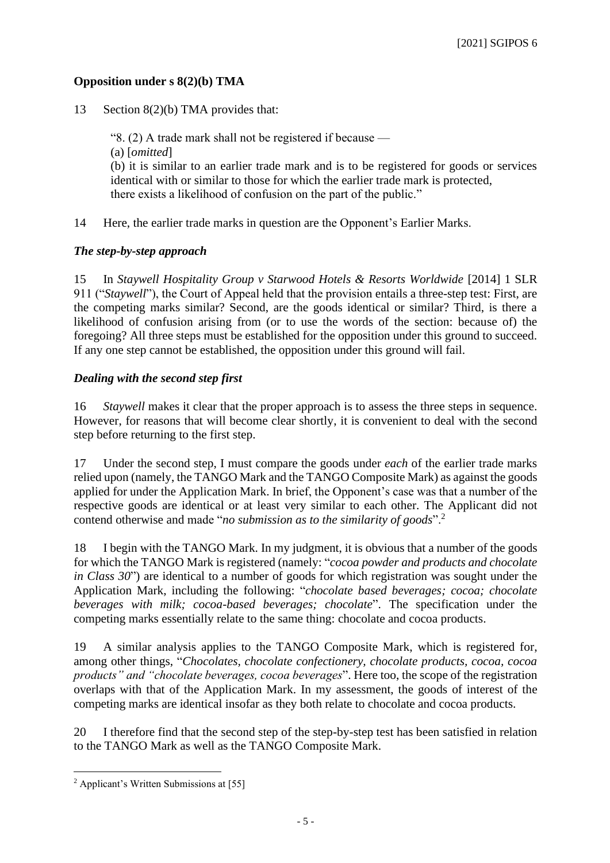## **Opposition under s 8(2)(b) TMA**

13 Section 8(2)(b) TMA provides that:

"8. (2) A trade mark shall not be registered if because — (a) [*omitted*] (b) it is similar to an earlier trade mark and is to be registered for goods or services identical with or similar to those for which the earlier trade mark is protected, there exists a likelihood of confusion on the part of the public."

14 Here, the earlier trade marks in question are the Opponent's Earlier Marks.

## *The step-by-step approach*

15 In *Staywell Hospitality Group v Starwood Hotels & Resorts Worldwide* [2014] 1 SLR 911 ("*Staywell*"), the Court of Appeal held that the provision entails a three-step test: First, are the competing marks similar? Second, are the goods identical or similar? Third, is there a likelihood of confusion arising from (or to use the words of the section: because of) the foregoing? All three steps must be established for the opposition under this ground to succeed. If any one step cannot be established, the opposition under this ground will fail.

# *Dealing with the second step first*

16 *Staywell* makes it clear that the proper approach is to assess the three steps in sequence. However, for reasons that will become clear shortly, it is convenient to deal with the second step before returning to the first step.

17 Under the second step, I must compare the goods under *each* of the earlier trade marks relied upon (namely, the TANGO Mark and the TANGO Composite Mark) as against the goods applied for under the Application Mark. In brief, the Opponent's case was that a number of the respective goods are identical or at least very similar to each other. The Applicant did not contend otherwise and made "*no submission as to the similarity of goods*".<sup>2</sup>

18 I begin with the TANGO Mark. In my judgment, it is obvious that a number of the goods for which the TANGO Mark is registered (namely: "*cocoa powder and products and chocolate in Class 30*") are identical to a number of goods for which registration was sought under the Application Mark, including the following: "*chocolate based beverages; cocoa; chocolate beverages with milk; cocoa-based beverages; chocolate*". The specification under the competing marks essentially relate to the same thing: chocolate and cocoa products.

19 A similar analysis applies to the TANGO Composite Mark, which is registered for, among other things, "*Chocolates, chocolate confectionery, chocolate products, cocoa, cocoa products" and "chocolate beverages, cocoa beverages*". Here too, the scope of the registration overlaps with that of the Application Mark. In my assessment, the goods of interest of the competing marks are identical insofar as they both relate to chocolate and cocoa products.

20 I therefore find that the second step of the step-by-step test has been satisfied in relation to the TANGO Mark as well as the TANGO Composite Mark.

<sup>2</sup> Applicant's Written Submissions at [55]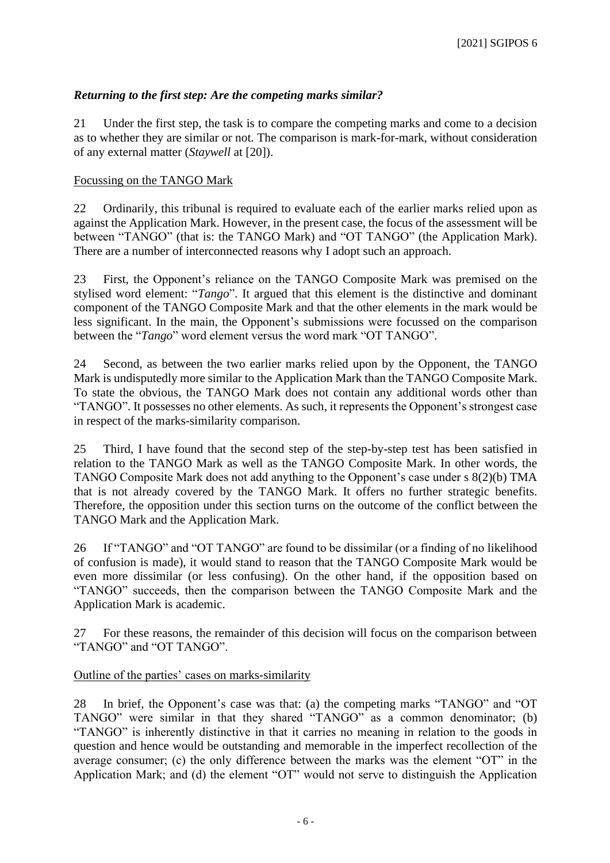# *Returning to the first step: Are the competing marks similar?*

21 Under the first step, the task is to compare the competing marks and come to a decision as to whether they are similar or not. The comparison is mark-for-mark, without consideration of any external matter (*Staywell* at [20]).

## Focussing on the TANGO Mark

22 Ordinarily, this tribunal is required to evaluate each of the earlier marks relied upon as against the Application Mark. However, in the present case, the focus of the assessment will be between "TANGO" (that is: the TANGO Mark) and "OT TANGO" (the Application Mark). There are a number of interconnected reasons why I adopt such an approach.

23 First, the Opponent's reliance on the TANGO Composite Mark was premised on the stylised word element: "*Tango*". It argued that this element is the distinctive and dominant component of the TANGO Composite Mark and that the other elements in the mark would be less significant. In the main, the Opponent's submissions were focussed on the comparison between the "*Tango*" word element versus the word mark "OT TANGO".

24 Second, as between the two earlier marks relied upon by the Opponent, the TANGO Mark is undisputedly more similar to the Application Mark than the TANGO Composite Mark. To state the obvious, the TANGO Mark does not contain any additional words other than "TANGO". It possesses no other elements. As such, it represents the Opponent's strongest case in respect of the marks-similarity comparison.

25 Third, I have found that the second step of the step-by-step test has been satisfied in relation to the TANGO Mark as well as the TANGO Composite Mark. In other words, the TANGO Composite Mark does not add anything to the Opponent's case under s 8(2)(b) TMA that is not already covered by the TANGO Mark. It offers no further strategic benefits. Therefore, the opposition under this section turns on the outcome of the conflict between the TANGO Mark and the Application Mark.

26 If "TANGO" and "OT TANGO" are found to be dissimilar (or a finding of no likelihood of confusion is made), it would stand to reason that the TANGO Composite Mark would be even more dissimilar (or less confusing). On the other hand, if the opposition based on "TANGO" succeeds, then the comparison between the TANGO Composite Mark and the Application Mark is academic.

27 For these reasons, the remainder of this decision will focus on the comparison between "TANGO" and "OT TANGO".

## Outline of the parties' cases on marks-similarity

28 In brief, the Opponent's case was that: (a) the competing marks "TANGO" and "OT TANGO" were similar in that they shared "TANGO" as a common denominator; (b) "TANGO" is inherently distinctive in that it carries no meaning in relation to the goods in question and hence would be outstanding and memorable in the imperfect recollection of the average consumer; (c) the only difference between the marks was the element "OT" in the Application Mark; and (d) the element "OT" would not serve to distinguish the Application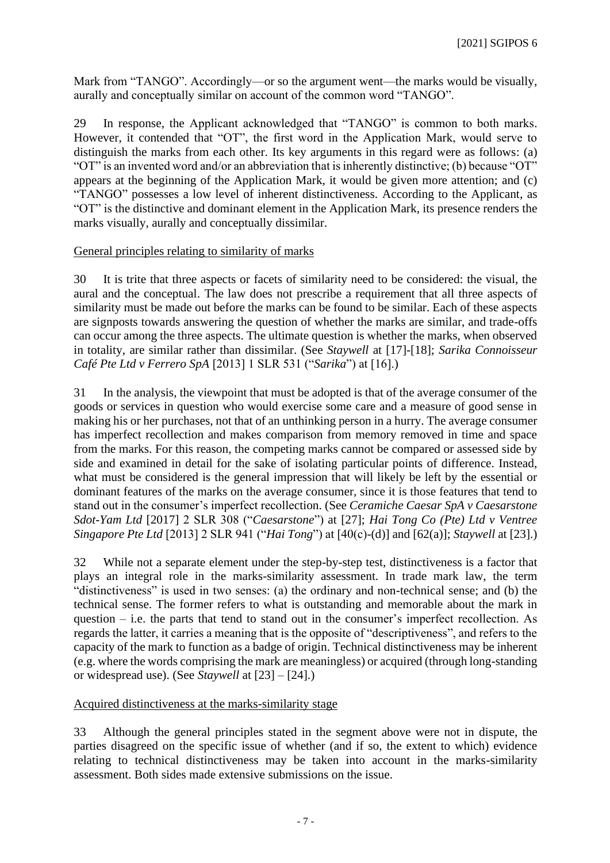Mark from "TANGO". Accordingly—or so the argument went—the marks would be visually, aurally and conceptually similar on account of the common word "TANGO".

29 In response, the Applicant acknowledged that "TANGO" is common to both marks. However, it contended that "OT", the first word in the Application Mark, would serve to distinguish the marks from each other. Its key arguments in this regard were as follows: (a) "OT" is an invented word and/or an abbreviation that is inherently distinctive; (b) because "OT" appears at the beginning of the Application Mark, it would be given more attention; and (c) "TANGO" possesses a low level of inherent distinctiveness. According to the Applicant, as "OT" is the distinctive and dominant element in the Application Mark, its presence renders the marks visually, aurally and conceptually dissimilar.

## General principles relating to similarity of marks

30 It is trite that three aspects or facets of similarity need to be considered: the visual, the aural and the conceptual. The law does not prescribe a requirement that all three aspects of similarity must be made out before the marks can be found to be similar. Each of these aspects are signposts towards answering the question of whether the marks are similar, and trade-offs can occur among the three aspects. The ultimate question is whether the marks, when observed in totality, are similar rather than dissimilar. (See *Staywell* at [17]-[18]; *Sarika Connoisseur Café Pte Ltd v Ferrero SpA* [2013] 1 SLR 531 ("*Sarika*") at [16].)

31 In the analysis, the viewpoint that must be adopted is that of the average consumer of the goods or services in question who would exercise some care and a measure of good sense in making his or her purchases, not that of an unthinking person in a hurry. The average consumer has imperfect recollection and makes comparison from memory removed in time and space from the marks. For this reason, the competing marks cannot be compared or assessed side by side and examined in detail for the sake of isolating particular points of difference. Instead, what must be considered is the general impression that will likely be left by the essential or dominant features of the marks on the average consumer, since it is those features that tend to stand out in the consumer's imperfect recollection. (See *Ceramiche Caesar SpA v Caesarstone Sdot-Yam Ltd* [2017] 2 SLR 308 ("*Caesarstone*") at [27]; *Hai Tong Co (Pte) Ltd v Ventree Singapore Pte Ltd* [2013] 2 SLR 941 ("*Hai Tong*") at [40(c)-(d)] and [62(a)]; *Staywell* at [23].)

32 While not a separate element under the step-by-step test, distinctiveness is a factor that plays an integral role in the marks-similarity assessment. In trade mark law, the term "distinctiveness" is used in two senses: (a) the ordinary and non-technical sense; and (b) the technical sense. The former refers to what is outstanding and memorable about the mark in question – i.e. the parts that tend to stand out in the consumer's imperfect recollection. As regards the latter, it carries a meaning that is the opposite of "descriptiveness", and refers to the capacity of the mark to function as a badge of origin. Technical distinctiveness may be inherent (e.g. where the words comprising the mark are meaningless) or acquired (through long-standing or widespread use). (See *Staywell* at [23] – [24].)

## Acquired distinctiveness at the marks-similarity stage

33 Although the general principles stated in the segment above were not in dispute, the parties disagreed on the specific issue of whether (and if so, the extent to which) evidence relating to technical distinctiveness may be taken into account in the marks-similarity assessment. Both sides made extensive submissions on the issue.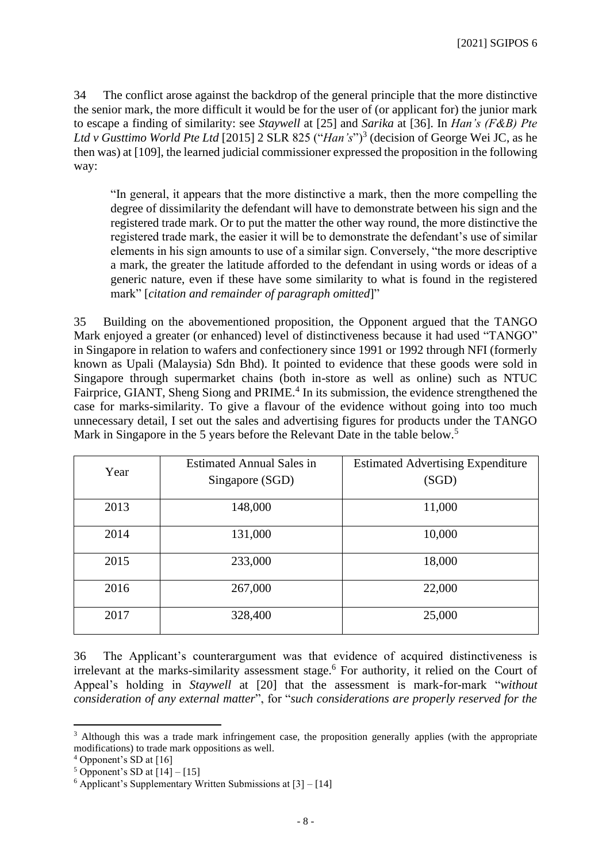34 The conflict arose against the backdrop of the general principle that the more distinctive the senior mark, the more difficult it would be for the user of (or applicant for) the junior mark to escape a finding of similarity: see *Staywell* at [25] and *Sarika* at [36]. In *Han's (F&B) Pte*  Ltd v Gusttimo World Pte Ltd [2015] 2 SLR 825 ("*Han's*")<sup>3</sup> (decision of George Wei JC, as he then was) at [109], the learned judicial commissioner expressed the proposition in the following way:

"In general, it appears that the more distinctive a mark, then the more compelling the degree of dissimilarity the defendant will have to demonstrate between his sign and the registered trade mark. Or to put the matter the other way round, the more distinctive the registered trade mark, the easier it will be to demonstrate the defendant's use of similar elements in his sign amounts to use of a similar sign. Conversely, "the more descriptive a mark, the greater the latitude afforded to the defendant in using words or ideas of a generic nature, even if these have some similarity to what is found in the registered mark" [*citation and remainder of paragraph omitted*]"

35 Building on the abovementioned proposition, the Opponent argued that the TANGO Mark enjoyed a greater (or enhanced) level of distinctiveness because it had used "TANGO" in Singapore in relation to wafers and confectionery since 1991 or 1992 through NFI (formerly known as Upali (Malaysia) Sdn Bhd). It pointed to evidence that these goods were sold in Singapore through supermarket chains (both in-store as well as online) such as NTUC Fairprice, GIANT, Sheng Siong and PRIME.<sup>4</sup> In its submission, the evidence strengthened the case for marks-similarity. To give a flavour of the evidence without going into too much unnecessary detail, I set out the sales and advertising figures for products under the TANGO Mark in Singapore in the 5 years before the Relevant Date in the table below.<sup>5</sup>

| Year | <b>Estimated Annual Sales in</b> | <b>Estimated Advertising Expenditure</b> |  |  |
|------|----------------------------------|------------------------------------------|--|--|
|      | Singapore (SGD)                  | (SGD)                                    |  |  |
| 2013 | 148,000                          | 11,000                                   |  |  |
| 2014 | 131,000                          | 10,000                                   |  |  |
| 2015 | 233,000                          | 18,000                                   |  |  |
| 2016 | 267,000                          | 22,000                                   |  |  |
| 2017 | 328,400                          | 25,000                                   |  |  |

36 The Applicant's counterargument was that evidence of acquired distinctiveness is irrelevant at the marks-similarity assessment stage.<sup>6</sup> For authority, it relied on the Court of Appeal's holding in *Staywell* at [20] that the assessment is mark-for-mark "*without consideration of any external matter*", for "*such considerations are properly reserved for the* 

<sup>&</sup>lt;sup>3</sup> Although this was a trade mark infringement case, the proposition generally applies (with the appropriate modifications) to trade mark oppositions as well.

<sup>4</sup> Opponent's SD at [16]

 $5$  Opponent's SD at  $[14] - [15]$ 

 $6$  Applicant's Supplementary Written Submissions at  $[3] - [14]$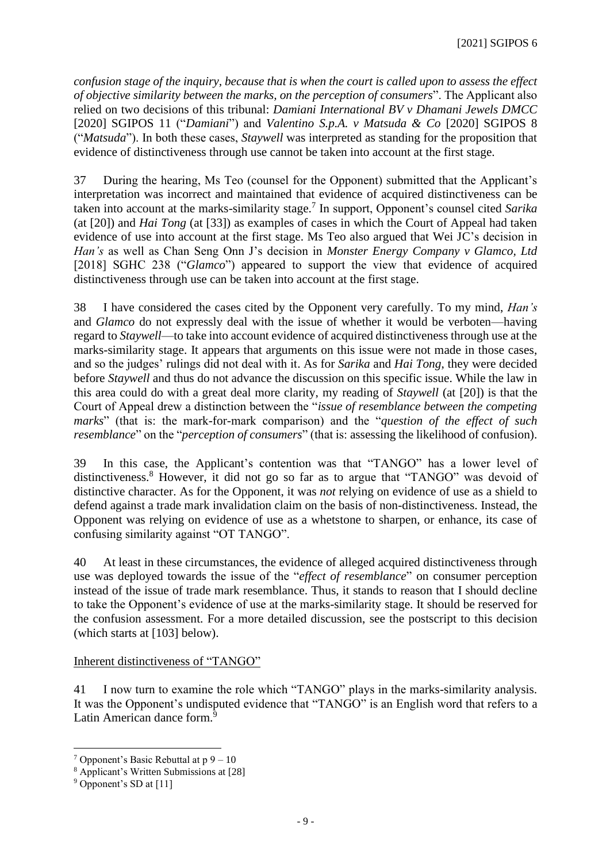*confusion stage of the inquiry, because that is when the court is called upon to assess the effect of objective similarity between the marks, on the perception of consumers*". The Applicant also relied on two decisions of this tribunal: *Damiani International BV v Dhamani Jewels DMCC*  [2020] SGIPOS 11 ("*Damiani*") and *Valentino S.p.A. v Matsuda & Co* [2020] SGIPOS 8 ("*Matsuda*"). In both these cases, *Staywell* was interpreted as standing for the proposition that evidence of distinctiveness through use cannot be taken into account at the first stage.

37 During the hearing, Ms Teo (counsel for the Opponent) submitted that the Applicant's interpretation was incorrect and maintained that evidence of acquired distinctiveness can be taken into account at the marks-similarity stage.<sup>7</sup> In support, Opponent's counsel cited *Sarika*  (at [20]) and *Hai Tong* (at [33]) as examples of cases in which the Court of Appeal had taken evidence of use into account at the first stage. Ms Teo also argued that Wei JC's decision in *Han's* as well as Chan Seng Onn J's decision in *Monster Energy Company v Glamco, Ltd*  [2018] SGHC 238 ("*Glamco*") appeared to support the view that evidence of acquired distinctiveness through use can be taken into account at the first stage.

38 I have considered the cases cited by the Opponent very carefully. To my mind, *Han's*  and *Glamco* do not expressly deal with the issue of whether it would be verboten—having regard to *Staywell*—to take into account evidence of acquired distinctiveness through use at the marks-similarity stage. It appears that arguments on this issue were not made in those cases, and so the judges' rulings did not deal with it. As for *Sarika* and *Hai Tong*, they were decided before *Staywell* and thus do not advance the discussion on this specific issue. While the law in this area could do with a great deal more clarity, my reading of *Staywell* (at [20]) is that the Court of Appeal drew a distinction between the "*issue of resemblance between the competing marks*" (that is: the mark-for-mark comparison) and the "*question of the effect of such resemblance*" on the "*perception of consumers*" (that is: assessing the likelihood of confusion).

39 In this case, the Applicant's contention was that "TANGO" has a lower level of distinctiveness. <sup>8</sup> However, it did not go so far as to argue that "TANGO" was devoid of distinctive character. As for the Opponent, it was *not* relying on evidence of use as a shield to defend against a trade mark invalidation claim on the basis of non-distinctiveness. Instead, the Opponent was relying on evidence of use as a whetstone to sharpen, or enhance, its case of confusing similarity against "OT TANGO".

40 At least in these circumstances, the evidence of alleged acquired distinctiveness through use was deployed towards the issue of the "*effect of resemblance*" on consumer perception instead of the issue of trade mark resemblance. Thus, it stands to reason that I should decline to take the Opponent's evidence of use at the marks-similarity stage. It should be reserved for the confusion assessment. For a more detailed discussion, see the postscript to this decision (which starts at [103] below).

Inherent distinctiveness of "TANGO"

41 I now turn to examine the role which "TANGO" plays in the marks-similarity analysis. It was the Opponent's undisputed evidence that "TANGO" is an English word that refers to a Latin American dance form.<sup>9</sup>

<sup>&</sup>lt;sup>7</sup> Opponent's Basic Rebuttal at  $p - 10$ 

<sup>8</sup> Applicant's Written Submissions at [28]

<sup>9</sup> Opponent's SD at [11]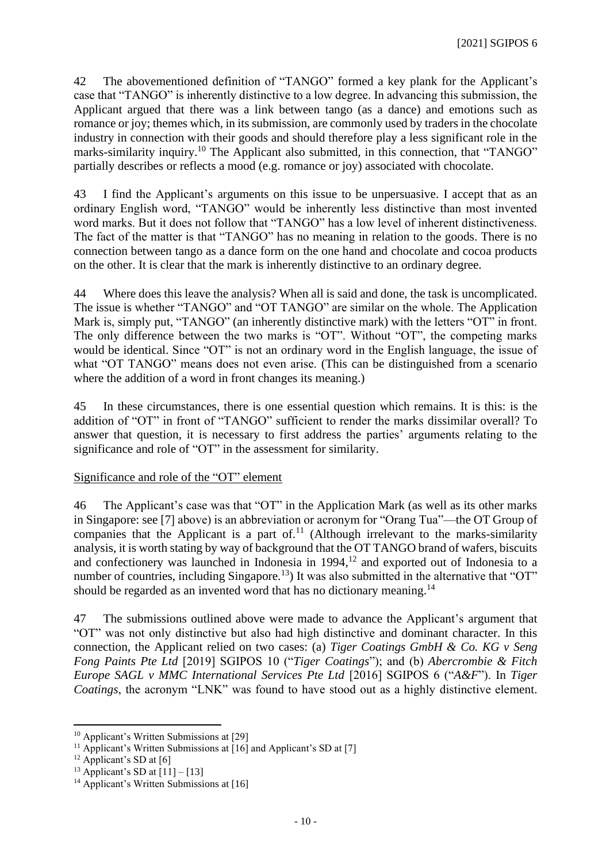42 The abovementioned definition of "TANGO" formed a key plank for the Applicant's case that "TANGO" is inherently distinctive to a low degree. In advancing this submission, the Applicant argued that there was a link between tango (as a dance) and emotions such as romance or joy; themes which, in its submission, are commonly used by traders in the chocolate industry in connection with their goods and should therefore play a less significant role in the marks-similarity inquiry.<sup>10</sup> The Applicant also submitted, in this connection, that "TANGO" partially describes or reflects a mood (e.g. romance or joy) associated with chocolate.

43 I find the Applicant's arguments on this issue to be unpersuasive. I accept that as an ordinary English word, "TANGO" would be inherently less distinctive than most invented word marks. But it does not follow that "TANGO" has a low level of inherent distinctiveness. The fact of the matter is that "TANGO" has no meaning in relation to the goods. There is no connection between tango as a dance form on the one hand and chocolate and cocoa products on the other. It is clear that the mark is inherently distinctive to an ordinary degree.

44 Where does this leave the analysis? When all is said and done, the task is uncomplicated. The issue is whether "TANGO" and "OT TANGO" are similar on the whole. The Application Mark is, simply put, "TANGO" (an inherently distinctive mark) with the letters "OT" in front. The only difference between the two marks is "OT". Without "OT", the competing marks would be identical. Since "OT" is not an ordinary word in the English language, the issue of what "OT TANGO" means does not even arise. (This can be distinguished from a scenario where the addition of a word in front changes its meaning.)

45 In these circumstances, there is one essential question which remains. It is this: is the addition of "OT" in front of "TANGO" sufficient to render the marks dissimilar overall? To answer that question, it is necessary to first address the parties' arguments relating to the significance and role of "OT" in the assessment for similarity.

## Significance and role of the "OT" element

46 The Applicant's case was that "OT" in the Application Mark (as well as its other marks in Singapore: see [7] above) is an abbreviation or acronym for "Orang Tua"—the OT Group of companies that the Applicant is a part of.<sup>11</sup> (Although irrelevant to the marks-similarity analysis, it is worth stating by way of background that the OT TANGO brand of wafers, biscuits and confectionery was launched in Indonesia in 1994, <sup>12</sup> and exported out of Indonesia to a number of countries, including  $Singapore$ <sup>13</sup>) It was also submitted in the alternative that "OT" should be regarded as an invented word that has no dictionary meaning.<sup>14</sup>

47 The submissions outlined above were made to advance the Applicant's argument that "OT" was not only distinctive but also had high distinctive and dominant character. In this connection, the Applicant relied on two cases: (a) *Tiger Coatings GmbH & Co. KG v Seng Fong Paints Pte Ltd* [2019] SGIPOS 10 ("*Tiger Coatings*"); and (b) *Abercrombie & Fitch Europe SAGL v MMC International Services Pte Ltd* [2016] SGIPOS 6 ("*A&F*"). In *Tiger Coatings*, the acronym "LNK" was found to have stood out as a highly distinctive element.

<sup>&</sup>lt;sup>10</sup> Applicant's Written Submissions at [29]

<sup>&</sup>lt;sup>11</sup> Applicant's Written Submissions at  $\overline{[16]}$  and Applicant's SD at [7]

 $12$  Applicant's SD at [6]

<sup>&</sup>lt;sup>13</sup> Applicant's SD at  $[11] - [13]$ 

<sup>&</sup>lt;sup>14</sup> Applicant's Written Submissions at [16]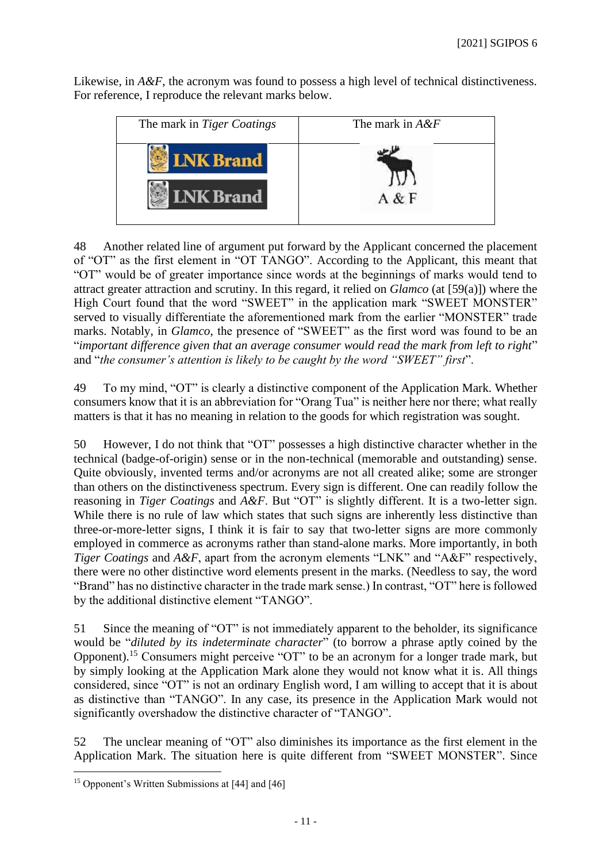Likewise, in  $A \& F$ , the acronym was found to possess a high level of technical distinctiveness. For reference, I reproduce the relevant marks below.



48 Another related line of argument put forward by the Applicant concerned the placement of "OT" as the first element in "OT TANGO". According to the Applicant, this meant that "OT" would be of greater importance since words at the beginnings of marks would tend to attract greater attraction and scrutiny. In this regard, it relied on *Glamco* (at [59(a)]) where the High Court found that the word "SWEET" in the application mark "SWEET MONSTER" served to visually differentiate the aforementioned mark from the earlier "MONSTER" trade marks. Notably, in *Glamco*, the presence of "SWEET" as the first word was found to be an "*important difference given that an average consumer would read the mark from left to right*" and "*the consumer's attention is likely to be caught by the word "SWEET" first*".

49 To my mind, "OT" is clearly a distinctive component of the Application Mark. Whether consumers know that it is an abbreviation for "Orang Tua" is neither here nor there; what really matters is that it has no meaning in relation to the goods for which registration was sought.

50 However, I do not think that "OT" possesses a high distinctive character whether in the technical (badge-of-origin) sense or in the non-technical (memorable and outstanding) sense. Quite obviously, invented terms and/or acronyms are not all created alike; some are stronger than others on the distinctiveness spectrum. Every sign is different. One can readily follow the reasoning in *Tiger Coatings* and *A&F*. But "OT" is slightly different. It is a two-letter sign. While there is no rule of law which states that such signs are inherently less distinctive than three-or-more-letter signs, I think it is fair to say that two-letter signs are more commonly employed in commerce as acronyms rather than stand-alone marks. More importantly, in both *Tiger Coatings* and *A&F*, apart from the acronym elements "LNK" and "A&F" respectively, there were no other distinctive word elements present in the marks. (Needless to say, the word "Brand" has no distinctive character in the trade mark sense.) In contrast, "OT" here is followed by the additional distinctive element "TANGO".

51 Since the meaning of "OT" is not immediately apparent to the beholder, its significance would be "*diluted by its indeterminate character*" (to borrow a phrase aptly coined by the Opponent).<sup>15</sup> Consumers might perceive "OT" to be an acronym for a longer trade mark, but by simply looking at the Application Mark alone they would not know what it is. All things considered, since "OT" is not an ordinary English word, I am willing to accept that it is about as distinctive than "TANGO". In any case, its presence in the Application Mark would not significantly overshadow the distinctive character of "TANGO".

52 The unclear meaning of "OT" also diminishes its importance as the first element in the Application Mark. The situation here is quite different from "SWEET MONSTER". Since

<sup>&</sup>lt;sup>15</sup> Opponent's Written Submissions at [44] and [46]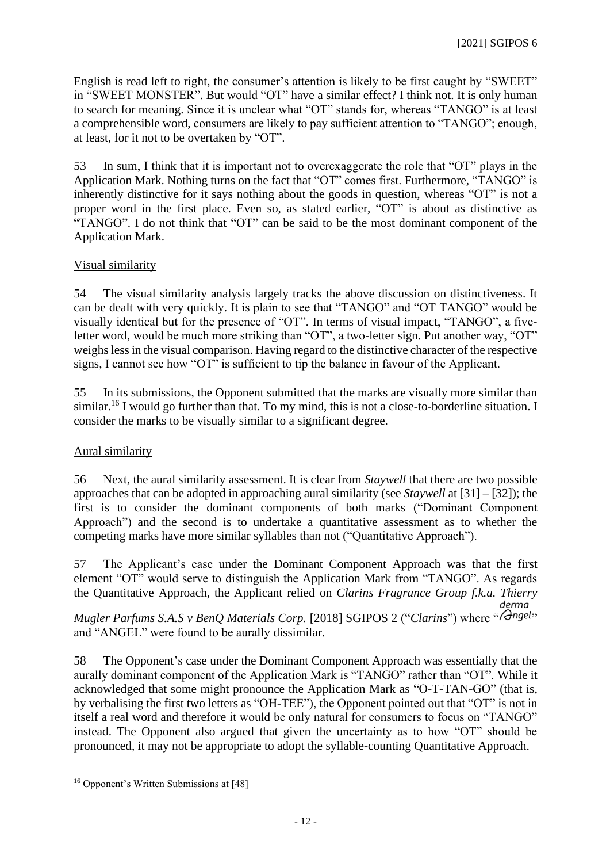English is read left to right, the consumer's attention is likely to be first caught by "SWEET" in "SWEET MONSTER". But would "OT" have a similar effect? I think not. It is only human to search for meaning. Since it is unclear what "OT" stands for, whereas "TANGO" is at least a comprehensible word, consumers are likely to pay sufficient attention to "TANGO"; enough, at least, for it not to be overtaken by "OT".

53 In sum, I think that it is important not to overexaggerate the role that "OT" plays in the Application Mark. Nothing turns on the fact that "OT" comes first. Furthermore, "TANGO" is inherently distinctive for it says nothing about the goods in question, whereas "OT" is not a proper word in the first place. Even so, as stated earlier, "OT" is about as distinctive as "TANGO". I do not think that "OT" can be said to be the most dominant component of the Application Mark.

## Visual similarity

54 The visual similarity analysis largely tracks the above discussion on distinctiveness. It can be dealt with very quickly. It is plain to see that "TANGO" and "OT TANGO" would be visually identical but for the presence of "OT". In terms of visual impact, "TANGO", a fiveletter word, would be much more striking than "OT", a two-letter sign. Put another way, "OT" weighs less in the visual comparison. Having regard to the distinctive character of the respective signs, I cannot see how "OT" is sufficient to tip the balance in favour of the Applicant.

55 In its submissions, the Opponent submitted that the marks are visually more similar than similar.<sup>16</sup> I would go further than that. To my mind, this is not a close-to-borderline situation. I consider the marks to be visually similar to a significant degree.

## Aural similarity

56 Next, the aural similarity assessment. It is clear from *Staywell* that there are two possible approaches that can be adopted in approaching aural similarity (see *Staywell* at [31] – [32]); the first is to consider the dominant components of both marks ("Dominant Component Approach") and the second is to undertake a quantitative assessment as to whether the competing marks have more similar syllables than not ("Quantitative Approach").

57 The Applicant's case under the Dominant Component Approach was that the first element "OT" would serve to distinguish the Application Mark from "TANGO". As regards the Quantitative Approach, the Applicant relied on *Clarins Fragrance Group f.k.a. Thierry* 

*Mugler Parfums S.A.S v BenQ Materials Corp.* [2018] SGIPOS 2 ("Clarins") where "*(Gngel*" and "ANGEL" were found to be aurally dissimilar.

58 The Opponent's case under the Dominant Component Approach was essentially that the aurally dominant component of the Application Mark is "TANGO" rather than "OT". While it acknowledged that some might pronounce the Application Mark as "O-T-TAN-GO" (that is, by verbalising the first two letters as "OH-TEE"), the Opponent pointed out that "OT" is not in itself a real word and therefore it would be only natural for consumers to focus on "TANGO" instead. The Opponent also argued that given the uncertainty as to how "OT" should be pronounced, it may not be appropriate to adopt the syllable-counting Quantitative Approach.

<sup>16</sup> Opponent's Written Submissions at [48]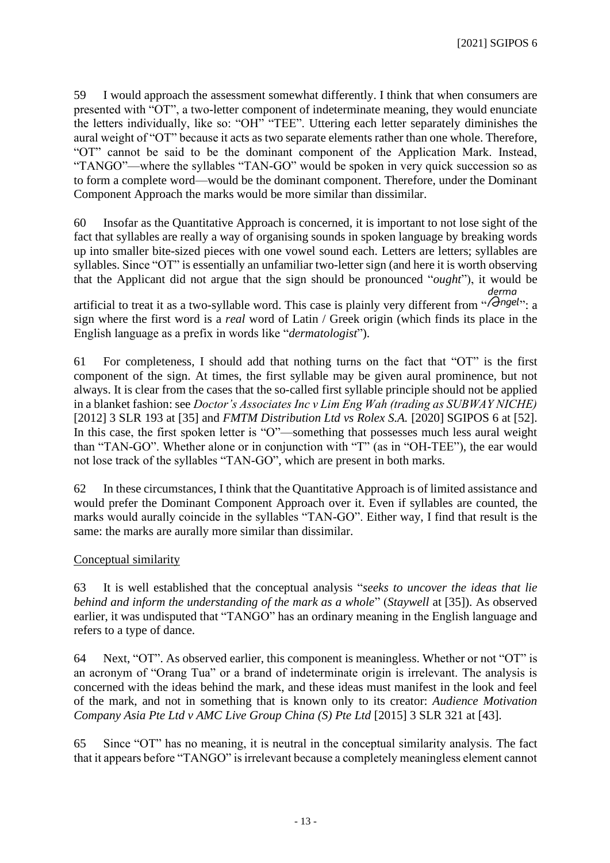59 I would approach the assessment somewhat differently. I think that when consumers are presented with "OT", a two-letter component of indeterminate meaning, they would enunciate the letters individually, like so: "OH" "TEE". Uttering each letter separately diminishes the aural weight of "OT" because it acts as two separate elements rather than one whole. Therefore, "OT" cannot be said to be the dominant component of the Application Mark. Instead, "TANGO"—where the syllables "TAN-GO" would be spoken in very quick succession so as to form a complete word—would be the dominant component. Therefore, under the Dominant Component Approach the marks would be more similar than dissimilar.

60 Insofar as the Quantitative Approach is concerned, it is important to not lose sight of the fact that syllables are really a way of organising sounds in spoken language by breaking words up into smaller bite-sized pieces with one vowel sound each. Letters are letters; syllables are syllables. Since "OT" is essentially an unfamiliar two-letter sign (and here it is worth observing that the Applicant did not argue that the sign should be pronounced "*ought*"), it would be derma

artificial to treat it as a two-syllable word. This case is plainly very different from " $\bigcap_{i=1}^{\infty}$ ". sign where the first word is a *real* word of Latin / Greek origin (which finds its place in the English language as a prefix in words like "*dermatologist*").

61 For completeness, I should add that nothing turns on the fact that "OT" is the first component of the sign. At times, the first syllable may be given aural prominence, but not always. It is clear from the cases that the so-called first syllable principle should not be applied in a blanket fashion: see *Doctor's Associates Inc v Lim Eng Wah (trading as SUBWAY NICHE)* [2012] 3 SLR 193 at [35] and *FMTM Distribution Ltd vs Rolex S.A.* [2020] SGIPOS 6 at [52]. In this case, the first spoken letter is "O"—something that possesses much less aural weight than "TAN-GO". Whether alone or in conjunction with "T" (as in "OH-TEE"), the ear would not lose track of the syllables "TAN-GO", which are present in both marks.

62 In these circumstances, I think that the Quantitative Approach is of limited assistance and would prefer the Dominant Component Approach over it. Even if syllables are counted, the marks would aurally coincide in the syllables "TAN-GO". Either way, I find that result is the same: the marks are aurally more similar than dissimilar.

Conceptual similarity

63 It is well established that the conceptual analysis "*seeks to uncover the ideas that lie behind and inform the understanding of the mark as a whole*" (*Staywell* at [35]). As observed earlier, it was undisputed that "TANGO" has an ordinary meaning in the English language and refers to a type of dance.

64 Next, "OT". As observed earlier, this component is meaningless. Whether or not "OT" is an acronym of "Orang Tua" or a brand of indeterminate origin is irrelevant. The analysis is concerned with the ideas behind the mark, and these ideas must manifest in the look and feel of the mark, and not in something that is known only to its creator: *Audience Motivation Company Asia Pte Ltd v AMC Live Group China (S) Pte Ltd* [2015] 3 SLR 321 at [43].

65 Since "OT" has no meaning, it is neutral in the conceptual similarity analysis. The fact that it appears before "TANGO" is irrelevant because a completely meaningless element cannot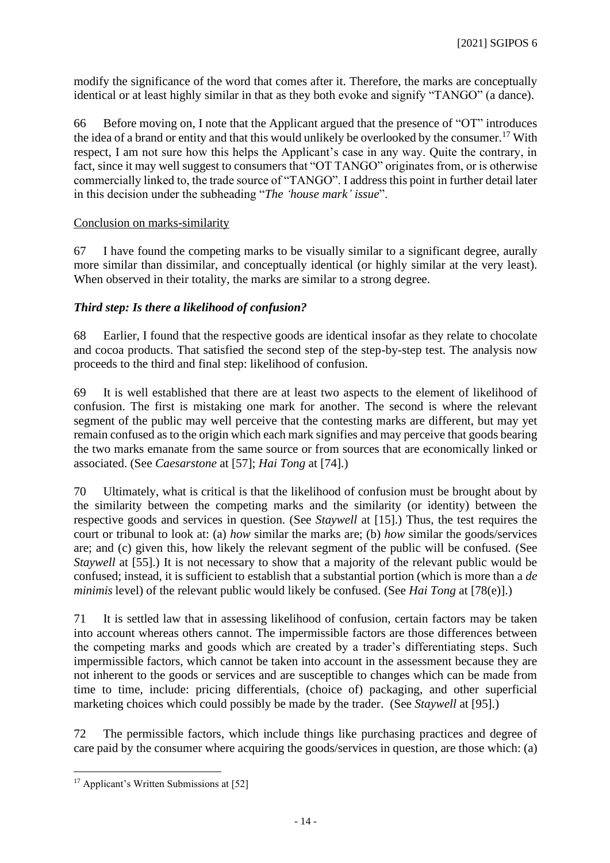modify the significance of the word that comes after it. Therefore, the marks are conceptually identical or at least highly similar in that as they both evoke and signify "TANGO" (a dance).

66 Before moving on, I note that the Applicant argued that the presence of "OT" introduces the idea of a brand or entity and that this would unlikely be overlooked by the consumer.<sup>17</sup> With respect, I am not sure how this helps the Applicant's case in any way. Quite the contrary, in fact, since it may well suggest to consumers that "OT TANGO" originates from, or is otherwise commercially linked to, the trade source of "TANGO". I address this point in further detail later in this decision under the subheading "*The 'house mark' issue*".

## Conclusion on marks-similarity

67 I have found the competing marks to be visually similar to a significant degree, aurally more similar than dissimilar, and conceptually identical (or highly similar at the very least). When observed in their totality, the marks are similar to a strong degree.

## *Third step: Is there a likelihood of confusion?*

68 Earlier, I found that the respective goods are identical insofar as they relate to chocolate and cocoa products. That satisfied the second step of the step-by-step test. The analysis now proceeds to the third and final step: likelihood of confusion.

69 It is well established that there are at least two aspects to the element of likelihood of confusion. The first is mistaking one mark for another. The second is where the relevant segment of the public may well perceive that the contesting marks are different, but may yet remain confused as to the origin which each mark signifies and may perceive that goods bearing the two marks emanate from the same source or from sources that are economically linked or associated. (See *Caesarstone* at [57]; *Hai Tong* at [74].)

70 Ultimately, what is critical is that the likelihood of confusion must be brought about by the similarity between the competing marks and the similarity (or identity) between the respective goods and services in question. (See *Staywell* at [15].) Thus, the test requires the court or tribunal to look at: (a) *how* similar the marks are; (b) *how* similar the goods/services are; and (c) given this, how likely the relevant segment of the public will be confused. (See *Staywell* at [55].) It is not necessary to show that a majority of the relevant public would be confused; instead, it is sufficient to establish that a substantial portion (which is more than a *de minimis* level) of the relevant public would likely be confused. (See *Hai Tong* at [78(e)].)

71 It is settled law that in assessing likelihood of confusion, certain factors may be taken into account whereas others cannot. The impermissible factors are those differences between the competing marks and goods which are created by a trader's differentiating steps. Such impermissible factors, which cannot be taken into account in the assessment because they are not inherent to the goods or services and are susceptible to changes which can be made from time to time, include: pricing differentials, (choice of) packaging, and other superficial marketing choices which could possibly be made by the trader. (See *Staywell* at [95].)

72 The permissible factors, which include things like purchasing practices and degree of care paid by the consumer where acquiring the goods/services in question, are those which: (a)

<sup>&</sup>lt;sup>17</sup> Applicant's Written Submissions at [52]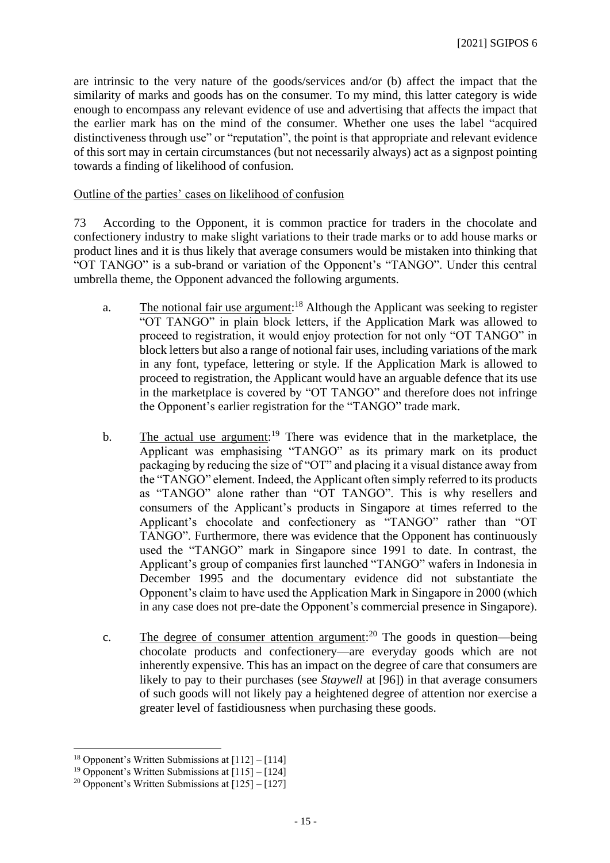are intrinsic to the very nature of the goods/services and/or (b) affect the impact that the similarity of marks and goods has on the consumer. To my mind, this latter category is wide enough to encompass any relevant evidence of use and advertising that affects the impact that the earlier mark has on the mind of the consumer. Whether one uses the label "acquired distinctiveness through use" or "reputation", the point is that appropriate and relevant evidence of this sort may in certain circumstances (but not necessarily always) act as a signpost pointing towards a finding of likelihood of confusion.

## Outline of the parties' cases on likelihood of confusion

73 According to the Opponent, it is common practice for traders in the chocolate and confectionery industry to make slight variations to their trade marks or to add house marks or product lines and it is thus likely that average consumers would be mistaken into thinking that "OT TANGO" is a sub-brand or variation of the Opponent's "TANGO". Under this central umbrella theme, the Opponent advanced the following arguments.

- a. The notional fair use argument:<sup>18</sup> Although the Applicant was seeking to register "OT TANGO" in plain block letters, if the Application Mark was allowed to proceed to registration, it would enjoy protection for not only "OT TANGO" in block letters but also a range of notional fair uses, including variations of the mark in any font, typeface, lettering or style. If the Application Mark is allowed to proceed to registration, the Applicant would have an arguable defence that its use in the marketplace is covered by "OT TANGO" and therefore does not infringe the Opponent's earlier registration for the "TANGO" trade mark.
- b. The actual use argument:<sup>19</sup> There was evidence that in the marketplace, the Applicant was emphasising "TANGO" as its primary mark on its product packaging by reducing the size of "OT" and placing it a visual distance away from the "TANGO" element. Indeed, the Applicant often simply referred to its products as "TANGO" alone rather than "OT TANGO". This is why resellers and consumers of the Applicant's products in Singapore at times referred to the Applicant's chocolate and confectionery as "TANGO" rather than "OT TANGO". Furthermore, there was evidence that the Opponent has continuously used the "TANGO" mark in Singapore since 1991 to date. In contrast, the Applicant's group of companies first launched "TANGO" wafers in Indonesia in December 1995 and the documentary evidence did not substantiate the Opponent's claim to have used the Application Mark in Singapore in 2000 (which in any case does not pre-date the Opponent's commercial presence in Singapore).
- c. The degree of consumer attention argument:<sup>20</sup> The goods in question—being chocolate products and confectionery—are everyday goods which are not inherently expensive. This has an impact on the degree of care that consumers are likely to pay to their purchases (see *Staywell* at [96]) in that average consumers of such goods will not likely pay a heightened degree of attention nor exercise a greater level of fastidiousness when purchasing these goods.

<sup>&</sup>lt;sup>18</sup> Opponent's Written Submissions at  $[112] - [114]$ 

<sup>&</sup>lt;sup>19</sup> Opponent's Written Submissions at  $[115] - [124]$ 

<sup>&</sup>lt;sup>20</sup> Opponent's Written Submissions at  $\overline{125}$  –  $\overline{127}$ ]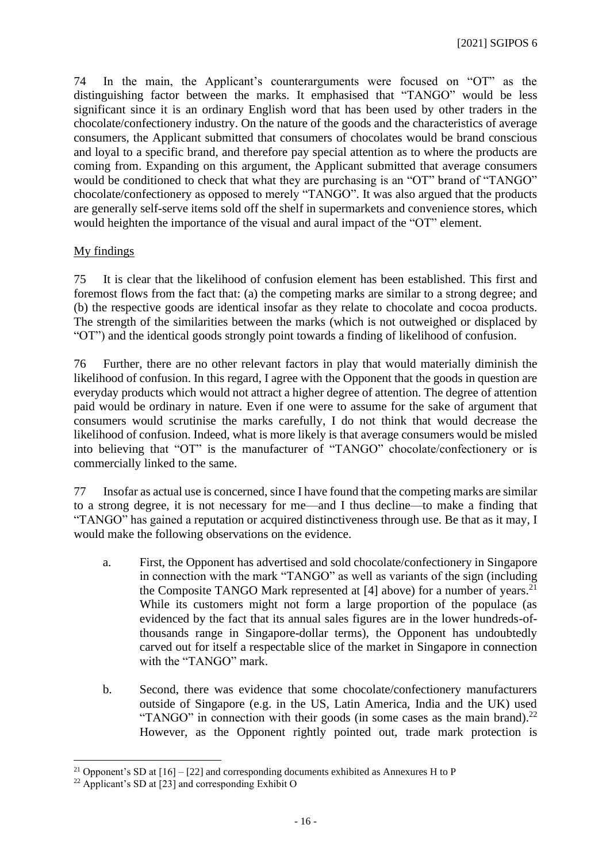74 In the main, the Applicant's counterarguments were focused on "OT" as the distinguishing factor between the marks. It emphasised that "TANGO" would be less significant since it is an ordinary English word that has been used by other traders in the chocolate/confectionery industry. On the nature of the goods and the characteristics of average consumers, the Applicant submitted that consumers of chocolates would be brand conscious and loyal to a specific brand, and therefore pay special attention as to where the products are coming from. Expanding on this argument, the Applicant submitted that average consumers would be conditioned to check that what they are purchasing is an "OT" brand of "TANGO" chocolate/confectionery as opposed to merely "TANGO". It was also argued that the products are generally self-serve items sold off the shelf in supermarkets and convenience stores, which would heighten the importance of the visual and aural impact of the "OT" element.

## My findings

75 It is clear that the likelihood of confusion element has been established. This first and foremost flows from the fact that: (a) the competing marks are similar to a strong degree; and (b) the respective goods are identical insofar as they relate to chocolate and cocoa products. The strength of the similarities between the marks (which is not outweighed or displaced by "OT") and the identical goods strongly point towards a finding of likelihood of confusion.

76 Further, there are no other relevant factors in play that would materially diminish the likelihood of confusion. In this regard, I agree with the Opponent that the goods in question are everyday products which would not attract a higher degree of attention. The degree of attention paid would be ordinary in nature. Even if one were to assume for the sake of argument that consumers would scrutinise the marks carefully, I do not think that would decrease the likelihood of confusion. Indeed, what is more likely is that average consumers would be misled into believing that "OT" is the manufacturer of "TANGO" chocolate/confectionery or is commercially linked to the same.

77 Insofar as actual use is concerned, since I have found that the competing marks are similar to a strong degree, it is not necessary for me—and I thus decline—to make a finding that "TANGO" has gained a reputation or acquired distinctiveness through use. Be that as it may, I would make the following observations on the evidence.

- a. First, the Opponent has advertised and sold chocolate/confectionery in Singapore in connection with the mark "TANGO" as well as variants of the sign (including the Composite TANGO Mark represented at [4] above) for a number of years.<sup>21</sup> While its customers might not form a large proportion of the populace (as evidenced by the fact that its annual sales figures are in the lower hundreds-ofthousands range in Singapore-dollar terms), the Opponent has undoubtedly carved out for itself a respectable slice of the market in Singapore in connection with the "TANGO" mark.
- b. Second, there was evidence that some chocolate/confectionery manufacturers outside of Singapore (e.g. in the US, Latin America, India and the UK) used "TANGO" in connection with their goods (in some cases as the main brand).<sup>22</sup> However, as the Opponent rightly pointed out, trade mark protection is

<sup>&</sup>lt;sup>21</sup> Opponent's SD at  $[16] - [22]$  and corresponding documents exhibited as Annexures H to P

<sup>&</sup>lt;sup>22</sup> Applicant's SD at  $\overline{23}$  and corresponding Exhibit O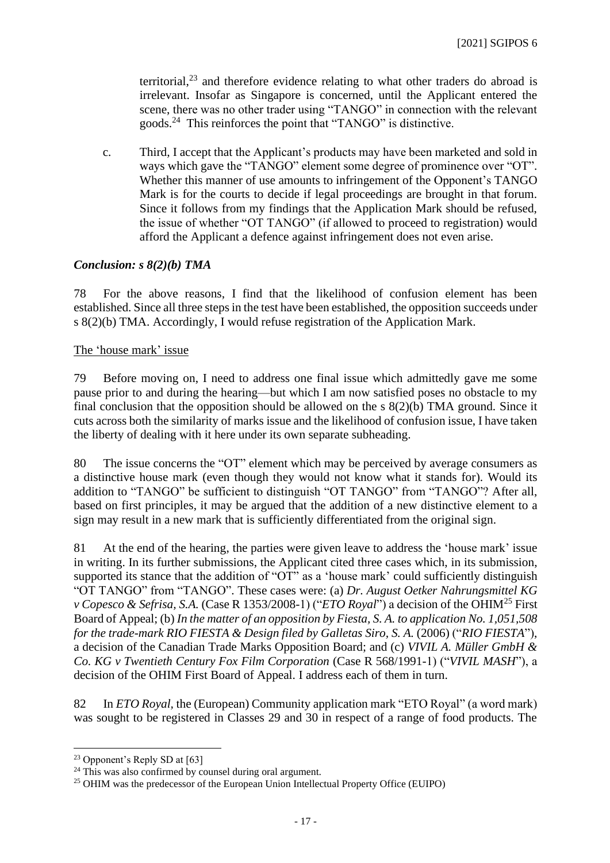territorial, <sup>23</sup> and therefore evidence relating to what other traders do abroad is irrelevant. Insofar as Singapore is concerned, until the Applicant entered the scene, there was no other trader using "TANGO" in connection with the relevant goods.<sup>24</sup> This reinforces the point that "TANGO" is distinctive.

c. Third, I accept that the Applicant's products may have been marketed and sold in ways which gave the "TANGO" element some degree of prominence over "OT". Whether this manner of use amounts to infringement of the Opponent's TANGO Mark is for the courts to decide if legal proceedings are brought in that forum. Since it follows from my findings that the Application Mark should be refused, the issue of whether "OT TANGO" (if allowed to proceed to registration) would afford the Applicant a defence against infringement does not even arise.

## *Conclusion: s 8(2)(b) TMA*

78 For the above reasons, I find that the likelihood of confusion element has been established. Since all three steps in the test have been established, the opposition succeeds under s 8(2)(b) TMA. Accordingly, I would refuse registration of the Application Mark.

#### The 'house mark' issue

79 Before moving on, I need to address one final issue which admittedly gave me some pause prior to and during the hearing—but which I am now satisfied poses no obstacle to my final conclusion that the opposition should be allowed on the s 8(2)(b) TMA ground. Since it cuts across both the similarity of marks issue and the likelihood of confusion issue, I have taken the liberty of dealing with it here under its own separate subheading.

80 The issue concerns the "OT" element which may be perceived by average consumers as a distinctive house mark (even though they would not know what it stands for). Would its addition to "TANGO" be sufficient to distinguish "OT TANGO" from "TANGO"? After all, based on first principles, it may be argued that the addition of a new distinctive element to a sign may result in a new mark that is sufficiently differentiated from the original sign.

81 At the end of the hearing, the parties were given leave to address the 'house mark' issue in writing. In its further submissions, the Applicant cited three cases which, in its submission, supported its stance that the addition of "OT" as a 'house mark' could sufficiently distinguish "OT TANGO" from "TANGO". These cases were: (a) *Dr. August Oetker Nahrungsmittel KG v Copesco & Sefrisa, S.A.* (Case R 1353/2008-1) ("*ETO Royal*") a decision of the OHIM<sup>25</sup> First Board of Appeal; (b) *In the matter of an opposition by Fiesta, S. A. to application No. 1,051,508 for the trade-mark RIO FIESTA & Design filed by Galletas Siro, S. A.* (2006) ("*RIO FIESTA*"), a decision of the Canadian Trade Marks Opposition Board; and (c) *VIVIL A. Müller GmbH & Co. KG v Twentieth Century Fox Film Corporation* (Case R 568/1991-1) ("*VIVIL MASH*"), a decision of the OHIM First Board of Appeal. I address each of them in turn.

82 In *ETO Royal,* the (European) Community application mark "ETO Royal" (a word mark) was sought to be registered in Classes 29 and 30 in respect of a range of food products. The

 $23$  Opponent's Reply SD at [63]

 $24$  This was also confirmed by counsel during oral argument.

<sup>&</sup>lt;sup>25</sup> OHIM was the predecessor of the European Union Intellectual Property Office (EUIPO)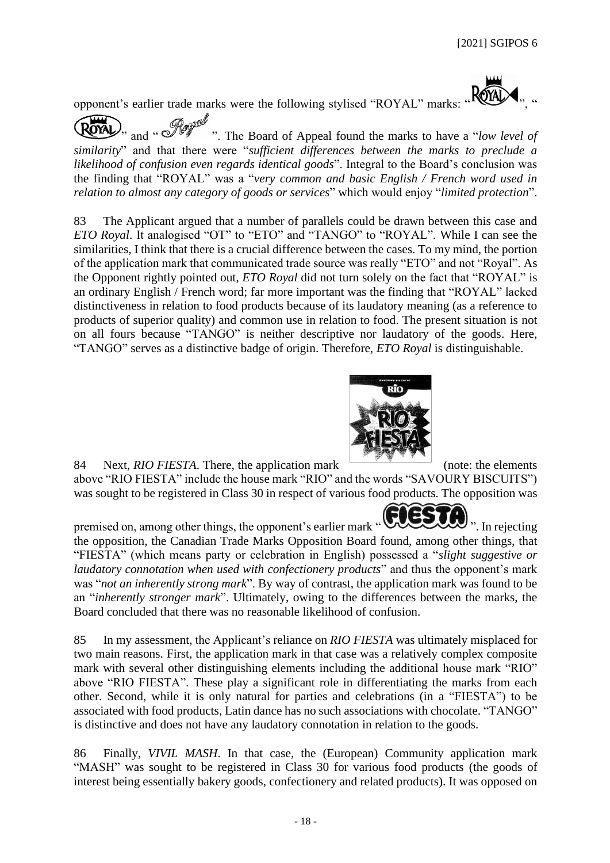opponent's earlier trade marks were the following stylised "ROYAL" marks: "

and "<sup>*way*"</sup> ". The Board of Appeal found the marks to have a "*low level of similarity*" and that there were "*sufficient differences between the marks to preclude a likelihood of confusion even regards identical goods*". Integral to the Board's conclusion was the finding that "ROYAL" was a "*very common and basic English / French word used in relation to almost any category of goods or services*" which would enjoy "*limited protection*".

83 The Applicant argued that a number of parallels could be drawn between this case and *ETO Royal*. It analogised "OT" to "ETO" and "TANGO" to "ROYAL". While I can see the similarities, I think that there is a crucial difference between the cases. To my mind, the portion of the application mark that communicated trade source was really "ETO" and not "Royal". As the Opponent rightly pointed out, *ETO Royal* did not turn solely on the fact that "ROYAL" is an ordinary English / French word; far more important was the finding that "ROYAL" lacked distinctiveness in relation to food products because of its laudatory meaning (as a reference to products of superior quality) and common use in relation to food. The present situation is not on all fours because "TANGO" is neither descriptive nor laudatory of the goods. Here, "TANGO" serves as a distinctive badge of origin. Therefore, *ETO Royal* is distinguishable.



84 Next, *RIO FIESTA*. There, the application mark (note: the elements above "RIO FIESTA" include the house mark "RIO" and the words "SAVOURY BISCUITS") was sought to be registered in Class 30 in respect of various food products. The opposition was



premised on, among other things, the opponent's earlier mark " www. In rejecting ". In rejecting the opposition, the Canadian Trade Marks Opposition Board found, among other things, that "FIESTA" (which means party or celebration in English) possessed a "*slight suggestive or laudatory connotation when used with confectionery products*" and thus the opponent's mark was "*not an inherently strong mark*". By way of contrast, the application mark was found to be an "*inherently stronger mark*". Ultimately, owing to the differences between the marks, the Board concluded that there was no reasonable likelihood of confusion.

85 In my assessment, the Applicant's reliance on *RIO FIESTA* was ultimately misplaced for two main reasons. First, the application mark in that case was a relatively complex composite mark with several other distinguishing elements including the additional house mark "RIO" above "RIO FIESTA". These play a significant role in differentiating the marks from each other. Second, while it is only natural for parties and celebrations (in a "FIESTA") to be associated with food products, Latin dance has no such associations with chocolate. "TANGO" is distinctive and does not have any laudatory connotation in relation to the goods.

86 Finally, *VIVIL MASH*. In that case, the (European) Community application mark "MASH" was sought to be registered in Class 30 for various food products (the goods of interest being essentially bakery goods, confectionery and related products). It was opposed on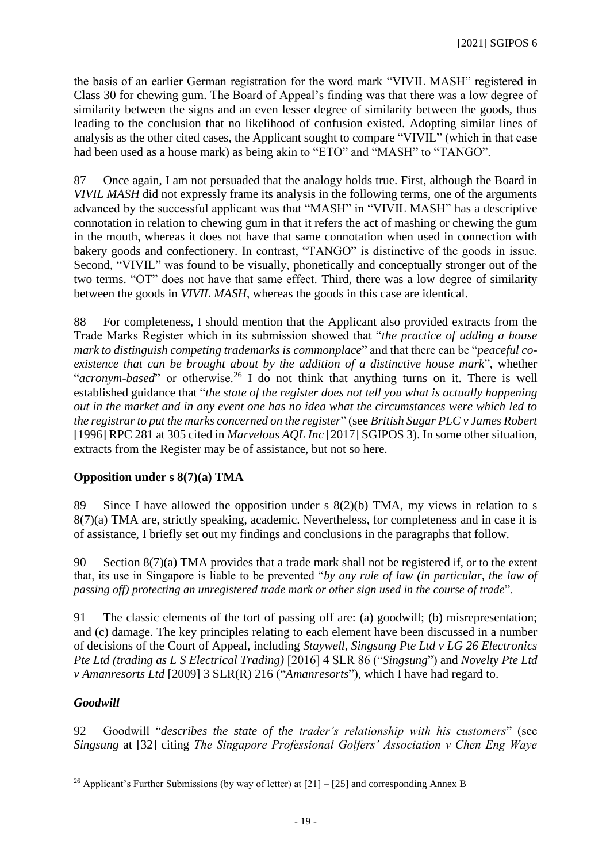the basis of an earlier German registration for the word mark "VIVIL MASH" registered in Class 30 for chewing gum. The Board of Appeal's finding was that there was a low degree of similarity between the signs and an even lesser degree of similarity between the goods, thus leading to the conclusion that no likelihood of confusion existed. Adopting similar lines of analysis as the other cited cases, the Applicant sought to compare "VIVIL" (which in that case had been used as a house mark) as being akin to "ETO" and "MASH" to "TANGO".

87 Once again, I am not persuaded that the analogy holds true. First, although the Board in *VIVIL MASH* did not expressly frame its analysis in the following terms, one of the arguments advanced by the successful applicant was that "MASH" in "VIVIL MASH" has a descriptive connotation in relation to chewing gum in that it refers the act of mashing or chewing the gum in the mouth, whereas it does not have that same connotation when used in connection with bakery goods and confectionery. In contrast, "TANGO" is distinctive of the goods in issue. Second, "VIVIL" was found to be visually, phonetically and conceptually stronger out of the two terms. "OT" does not have that same effect. Third, there was a low degree of similarity between the goods in *VIVIL MASH*, whereas the goods in this case are identical.

88 For completeness, I should mention that the Applicant also provided extracts from the Trade Marks Register which in its submission showed that "*the practice of adding a house mark to distinguish competing trademarks is commonplace*" and that there can be "*peaceful coexistence that can be brought about by the addition of a distinctive house mark*", whether "*acronym-based*" or otherwise.<sup>26</sup> I do not think that anything turns on it. There is well established guidance that "*the state of the register does not tell you what is actually happening out in the market and in any event one has no idea what the circumstances were which led to the registrar to put the marks concerned on the register*" (see *British Sugar PLC v James Robert* [1996] RPC 281 at 305 cited in *Marvelous AQL Inc* [2017] SGIPOS 3). In some other situation, extracts from the Register may be of assistance, but not so here.

# **Opposition under s 8(7)(a) TMA**

89 Since I have allowed the opposition under s  $8(2)(b)$  TMA, my views in relation to s 8(7)(a) TMA are, strictly speaking, academic. Nevertheless, for completeness and in case it is of assistance, I briefly set out my findings and conclusions in the paragraphs that follow.

90 Section 8(7)(a) TMA provides that a trade mark shall not be registered if, or to the extent that, its use in Singapore is liable to be prevented "*by any rule of law (in particular, the law of passing off) protecting an unregistered trade mark or other sign used in the course of trade*".

91 The classic elements of the tort of passing off are: (a) goodwill; (b) misrepresentation; and (c) damage. The key principles relating to each element have been discussed in a number of decisions of the Court of Appeal, including *Staywell*, *Singsung Pte Ltd v LG 26 Electronics Pte Ltd (trading as L S Electrical Trading)* [2016] 4 SLR 86 ("*Singsung*") and *Novelty Pte Ltd v Amanresorts Ltd* [2009] 3 SLR(R) 216 ("*Amanresorts*"), which I have had regard to.

# *Goodwill*

92 Goodwill "*describes the state of the trader's relationship with his customers*" (see *Singsung* at [32] citing *The Singapore Professional Golfers' Association v Chen Eng Waye* 

<sup>&</sup>lt;sup>26</sup> Applicant's Further Submissions (by way of letter) at  $[21] - [25]$  and corresponding Annex B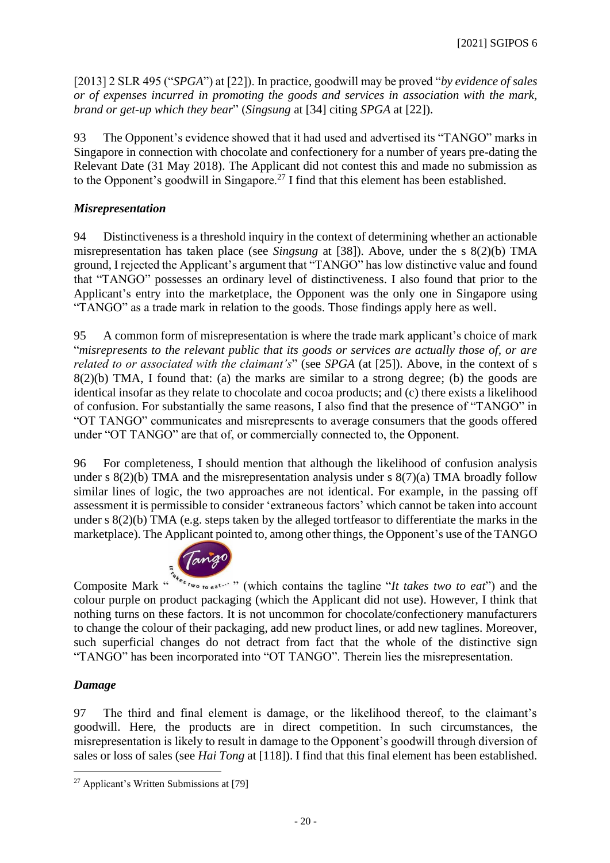[2013] 2 SLR 495 ("*SPGA*") at [22]). In practice, goodwill may be proved "*by evidence of sales or of expenses incurred in promoting the goods and services in association with the mark, brand or get-up which they bear*" (*Singsung* at [34] citing *SPGA* at [22]).

93 The Opponent's evidence showed that it had used and advertised its "TANGO" marks in Singapore in connection with chocolate and confectionery for a number of years pre-dating the Relevant Date (31 May 2018). The Applicant did not contest this and made no submission as to the Opponent's goodwill in Singapore.<sup>27</sup> I find that this element has been established.

# *Misrepresentation*

94 Distinctiveness is a threshold inquiry in the context of determining whether an actionable misrepresentation has taken place (see *Singsung* at [38]). Above, under the s 8(2)(b) TMA ground, I rejected the Applicant's argument that "TANGO" has low distinctive value and found that "TANGO" possesses an ordinary level of distinctiveness. I also found that prior to the Applicant's entry into the marketplace, the Opponent was the only one in Singapore using "TANGO" as a trade mark in relation to the goods. Those findings apply here as well.

95 A common form of misrepresentation is where the trade mark applicant's choice of mark "*misrepresents to the relevant public that its goods or services are actually those of, or are related to or associated with the claimant's*" (see *SPGA* (at [25]). Above, in the context of s  $8(2)(b)$  TMA, I found that: (a) the marks are similar to a strong degree; (b) the goods are identical insofar as they relate to chocolate and cocoa products; and (c) there exists a likelihood of confusion. For substantially the same reasons, I also find that the presence of "TANGO" in "OT TANGO" communicates and misrepresents to average consumers that the goods offered under "OT TANGO" are that of, or commercially connected to, the Opponent.

96 For completeness, I should mention that although the likelihood of confusion analysis under s 8(2)(b) TMA and the misrepresentation analysis under s 8(7)(a) TMA broadly follow similar lines of logic, the two approaches are not identical. For example, in the passing off assessment it is permissible to consider 'extraneous factors' which cannot be taken into account under s 8(2)(b) TMA (e.g. steps taken by the alleged tortfeasor to differentiate the marks in the marketplace). The Applicant pointed to, among other things, the Opponent's use of the TANGO



Composite Mark "<sup>" " "</sup> " (which contains the tagline "*It takes two to eat*") and the colour purple on product packaging (which the Applicant did not use). However, I think that nothing turns on these factors. It is not uncommon for chocolate/confectionery manufacturers to change the colour of their packaging, add new product lines, or add new taglines. Moreover, such superficial changes do not detract from fact that the whole of the distinctive sign "TANGO" has been incorporated into "OT TANGO". Therein lies the misrepresentation.

# *Damage*

97 The third and final element is damage, or the likelihood thereof, to the claimant's goodwill. Here, the products are in direct competition. In such circumstances, the misrepresentation is likely to result in damage to the Opponent's goodwill through diversion of sales or loss of sales (see *Hai Tong* at [118]). I find that this final element has been established.

<sup>27</sup> Applicant's Written Submissions at [79]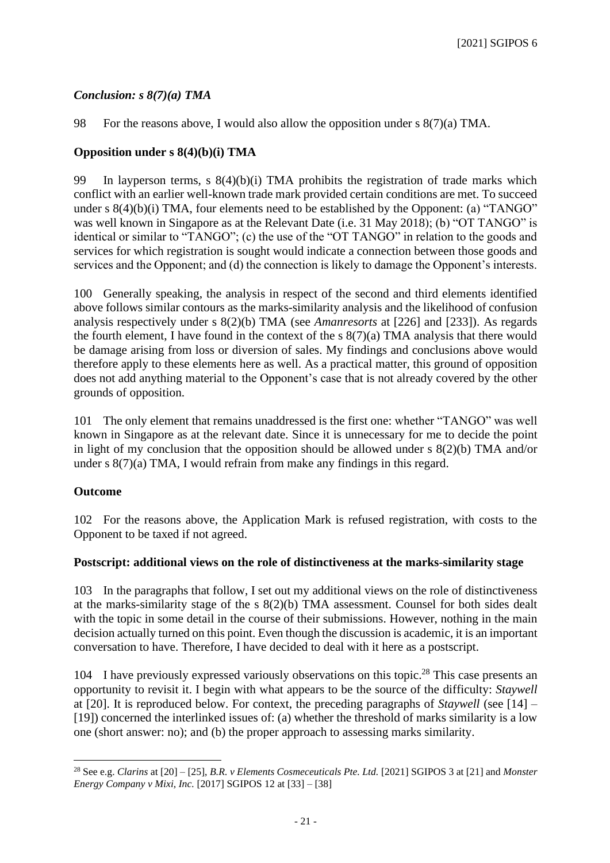# *Conclusion: s 8(7)(a) TMA*

98 For the reasons above, I would also allow the opposition under s 8(7)(a) TMA.

## **Opposition under s 8(4)(b)(i) TMA**

99 In layperson terms,  $s(4)(b)(i)$  TMA prohibits the registration of trade marks which conflict with an earlier well-known trade mark provided certain conditions are met. To succeed under s 8(4)(b)(i) TMA, four elements need to be established by the Opponent: (a) "TANGO" was well known in Singapore as at the Relevant Date (i.e. 31 May 2018); (b) "OT TANGO" is identical or similar to "TANGO"; (c) the use of the "OT TANGO" in relation to the goods and services for which registration is sought would indicate a connection between those goods and services and the Opponent; and (d) the connection is likely to damage the Opponent's interests.

100 Generally speaking, the analysis in respect of the second and third elements identified above follows similar contours as the marks-similarity analysis and the likelihood of confusion analysis respectively under s 8(2)(b) TMA (see *Amanresorts* at [226] and [233]). As regards the fourth element, I have found in the context of the s 8(7)(a) TMA analysis that there would be damage arising from loss or diversion of sales. My findings and conclusions above would therefore apply to these elements here as well. As a practical matter, this ground of opposition does not add anything material to the Opponent's case that is not already covered by the other grounds of opposition.

101 The only element that remains unaddressed is the first one: whether "TANGO" was well known in Singapore as at the relevant date. Since it is unnecessary for me to decide the point in light of my conclusion that the opposition should be allowed under  $s(2)(b)$  TMA and/or under s 8(7)(a) TMA, I would refrain from make any findings in this regard.

## **Outcome**

102 For the reasons above, the Application Mark is refused registration, with costs to the Opponent to be taxed if not agreed.

## **Postscript: additional views on the role of distinctiveness at the marks-similarity stage**

103 In the paragraphs that follow, I set out my additional views on the role of distinctiveness at the marks-similarity stage of the s 8(2)(b) TMA assessment. Counsel for both sides dealt with the topic in some detail in the course of their submissions. However, nothing in the main decision actually turned on this point. Even though the discussion is academic, it is an important conversation to have. Therefore, I have decided to deal with it here as a postscript.

104 I have previously expressed variously observations on this topic. <sup>28</sup> This case presents an opportunity to revisit it. I begin with what appears to be the source of the difficulty: *Staywell*  at [20]. It is reproduced below. For context, the preceding paragraphs of *Staywell* (see [14] – [19]) concerned the interlinked issues of: (a) whether the threshold of marks similarity is a low one (short answer: no); and (b) the proper approach to assessing marks similarity.

<sup>&</sup>lt;sup>28</sup> See e.g. *Clarins* at [20] – [25], *B.R. v Elements Cosmeceuticals Pte. Ltd.* [2021] SGIPOS 3 at [21] and *Monster Energy Company v Mixi, Inc.* [2017] SGIPOS 12 at [33] – [38]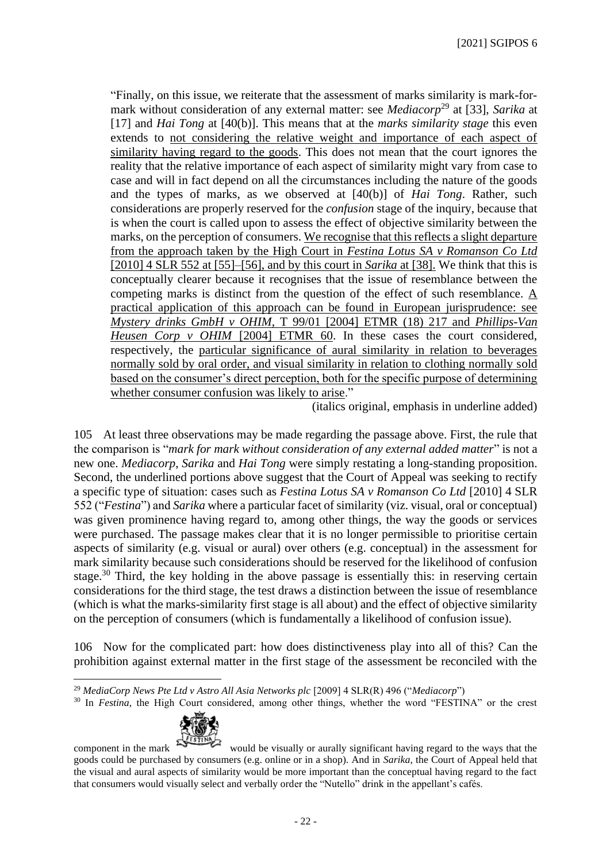"Finally, on this issue, we reiterate that the assessment of marks similarity is mark-formark without consideration of any external matter: see *Mediacorp*<sup>29</sup> at [33], *Sarika* at [17] and *Hai Tong* at [40(b)]. This means that at the *marks similarity stage* this even extends to not considering the relative weight and importance of each aspect of similarity having regard to the goods. This does not mean that the court ignores the reality that the relative importance of each aspect of similarity might vary from case to case and will in fact depend on all the circumstances including the nature of the goods and the types of marks, as we observed at [40(b)] of *Hai Tong*. Rather, such considerations are properly reserved for the *confusion* stage of the inquiry, because that is when the court is called upon to assess the effect of objective similarity between the marks, on the perception of consumers. We recognise that this reflects a slight departure from the approach taken by the High Court in *Festina Lotus SA v Romanson Co Ltd* [2010] 4 SLR 552 at [55]–[56], and by this court in *Sarika* at [38]. We think that this is conceptually clearer because it recognises that the issue of resemblance between the competing marks is distinct from the question of the effect of such resemblance. A practical application of this approach can be found in European jurisprudence: see *Mystery drinks GmbH v OHIM*, T 99/01 [2004] ETMR (18) 217 and *Phillips-Van Heusen Corp v OHIM* [2004] ETMR 60. In these cases the court considered, respectively, the particular significance of aural similarity in relation to beverages normally sold by oral order, and visual similarity in relation to clothing normally sold based on the consumer's direct perception, both for the specific purpose of determining whether consumer confusion was likely to arise."

(italics original, emphasis in underline added)

105 At least three observations may be made regarding the passage above. First, the rule that the comparison is "*mark for mark without consideration of any external added matter*" is not a new one. *Mediacorp*, *Sarika* and *Hai Tong* were simply restating a long-standing proposition. Second, the underlined portions above suggest that the Court of Appeal was seeking to rectify a specific type of situation: cases such as *Festina Lotus SA v Romanson Co Ltd* [2010] 4 SLR 552 ("*Festina*") and *Sarika* where a particular facet of similarity (viz. visual, oral or conceptual) was given prominence having regard to, among other things, the way the goods or services were purchased. The passage makes clear that it is no longer permissible to prioritise certain aspects of similarity (e.g. visual or aural) over others (e.g. conceptual) in the assessment for mark similarity because such considerations should be reserved for the likelihood of confusion stage.<sup>30</sup> Third, the key holding in the above passage is essentially this: in reserving certain considerations for the third stage, the test draws a distinction between the issue of resemblance (which is what the marks-similarity first stage is all about) and the effect of objective similarity on the perception of consumers (which is fundamentally a likelihood of confusion issue).

106 Now for the complicated part: how does distinctiveness play into all of this? Can the prohibition against external matter in the first stage of the assessment be reconciled with the

<sup>&</sup>lt;sup>30</sup> In *Festina*, the High Court considered, among other things, whether the word "FESTINA" or the crest



component in the mark would be visually or aurally significant having regard to the ways that the goods could be purchased by consumers (e.g. online or in a shop). And in *Sarika*, the Court of Appeal held that the visual and aural aspects of similarity would be more important than the conceptual having regard to the fact that consumers would visually select and verbally order the "Nutello" drink in the appellant's cafés.

<sup>29</sup> *MediaCorp News Pte Ltd v Astro All Asia Networks plc* [2009] 4 SLR(R) 496 ("*Mediacorp*")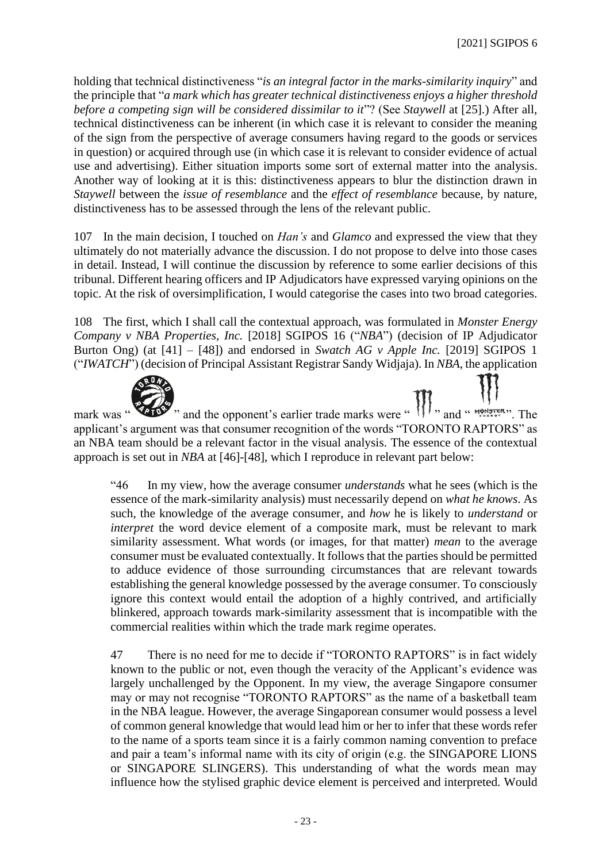holding that technical distinctiveness "*is an integral factor in the marks-similarity inquiry*" and the principle that "*a mark which has greater technical distinctiveness enjoys a higher threshold before a competing sign will be considered dissimilar to it*"? (See *Staywell* at [25].) After all, technical distinctiveness can be inherent (in which case it is relevant to consider the meaning of the sign from the perspective of average consumers having regard to the goods or services in question) or acquired through use (in which case it is relevant to consider evidence of actual use and advertising). Either situation imports some sort of external matter into the analysis. Another way of looking at it is this: distinctiveness appears to blur the distinction drawn in *Staywell* between the *issue of resemblance* and the *effect of resemblance* because, by nature, distinctiveness has to be assessed through the lens of the relevant public.

107 In the main decision, I touched on *Han's* and *Glamco* and expressed the view that they ultimately do not materially advance the discussion. I do not propose to delve into those cases in detail. Instead, I will continue the discussion by reference to some earlier decisions of this tribunal. Different hearing officers and IP Adjudicators have expressed varying opinions on the topic. At the risk of oversimplification, I would categorise the cases into two broad categories.

108 The first, which I shall call the contextual approach, was formulated in *Monster Energy Company v NBA Properties, Inc.* [2018] SGIPOS 16 ("*NBA*") (decision of IP Adjudicator Burton Ong) (at [41] – [48]) and endorsed in *Swatch AG v Apple Inc.* [2019] SGIPOS 1 ("*IWATCH*") (decision of Principal Assistant Registrar Sandy Widjaja). In *NBA*, the application



mark was " applicant's argument was that consumer recognition of the words "TORONTO RAPTORS" as an NBA team should be a relevant factor in the visual analysis. The essence of the contextual approach is set out in *NBA* at [46]-[48], which I reproduce in relevant part below:

"46 In my view, how the average consumer *understands* what he sees (which is the essence of the mark-similarity analysis) must necessarily depend on *what he knows*. As such, the knowledge of the average consumer, and *how* he is likely to *understand* or *interpret* the word device element of a composite mark, must be relevant to mark similarity assessment. What words (or images, for that matter) *mean* to the average consumer must be evaluated contextually. It follows that the parties should be permitted to adduce evidence of those surrounding circumstances that are relevant towards establishing the general knowledge possessed by the average consumer. To consciously ignore this context would entail the adoption of a highly contrived, and artificially blinkered, approach towards mark-similarity assessment that is incompatible with the commercial realities within which the trade mark regime operates.

47 There is no need for me to decide if "TORONTO RAPTORS" is in fact widely known to the public or not, even though the veracity of the Applicant's evidence was largely unchallenged by the Opponent. In my view, the average Singapore consumer may or may not recognise "TORONTO RAPTORS" as the name of a basketball team in the NBA league. However, the average Singaporean consumer would possess a level of common general knowledge that would lead him or her to infer that these words refer to the name of a sports team since it is a fairly common naming convention to preface and pair a team's informal name with its city of origin (e.g. the SINGAPORE LIONS or SINGAPORE SLINGERS). This understanding of what the words mean may influence how the stylised graphic device element is perceived and interpreted. Would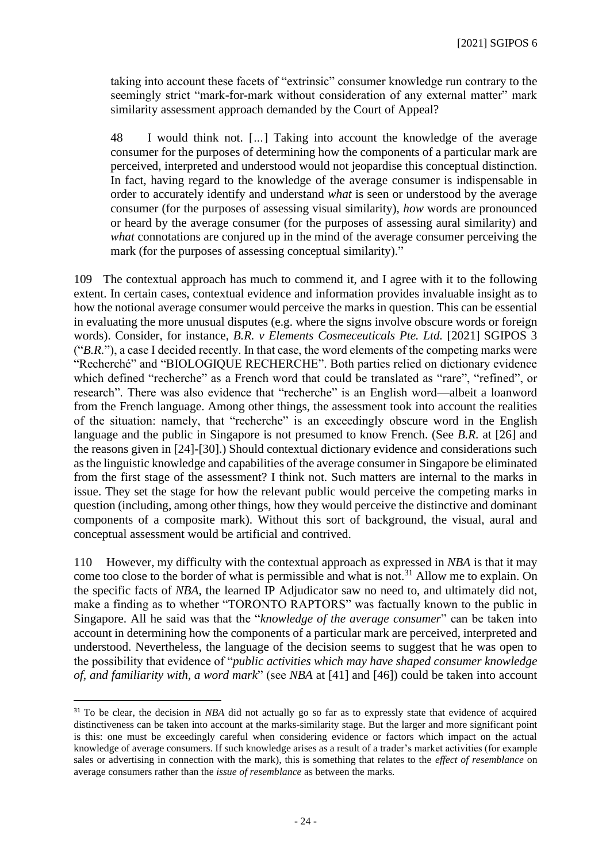taking into account these facets of "extrinsic" consumer knowledge run contrary to the seemingly strict "mark-for-mark without consideration of any external matter" mark similarity assessment approach demanded by the Court of Appeal?

48 I would think not. [*…*] Taking into account the knowledge of the average consumer for the purposes of determining how the components of a particular mark are perceived, interpreted and understood would not jeopardise this conceptual distinction. In fact, having regard to the knowledge of the average consumer is indispensable in order to accurately identify and understand *what* is seen or understood by the average consumer (for the purposes of assessing visual similarity), *how* words are pronounced or heard by the average consumer (for the purposes of assessing aural similarity) and *what* connotations are conjured up in the mind of the average consumer perceiving the mark (for the purposes of assessing conceptual similarity)."

109 The contextual approach has much to commend it, and I agree with it to the following extent. In certain cases, contextual evidence and information provides invaluable insight as to how the notional average consumer would perceive the marks in question. This can be essential in evaluating the more unusual disputes (e.g. where the signs involve obscure words or foreign words). Consider, for instance, *B.R. v Elements Cosmeceuticals Pte. Ltd.* [2021] SGIPOS 3 ("*B.R.*"), a case I decided recently. In that case, the word elements of the competing marks were "Recherché" and "BIOLOGIQUE RECHERCHE". Both parties relied on dictionary evidence which defined "recherche" as a French word that could be translated as "rare", "refined", or research". There was also evidence that "recherche" is an English word—albeit a loanword from the French language. Among other things, the assessment took into account the realities of the situation: namely, that "recherche" is an exceedingly obscure word in the English language and the public in Singapore is not presumed to know French. (See *B.R.* at [26] and the reasons given in [24]-[30].) Should contextual dictionary evidence and considerations such as the linguistic knowledge and capabilities of the average consumer in Singapore be eliminated from the first stage of the assessment? I think not. Such matters are internal to the marks in issue. They set the stage for how the relevant public would perceive the competing marks in question (including, among other things, how they would perceive the distinctive and dominant components of a composite mark). Without this sort of background, the visual, aural and conceptual assessment would be artificial and contrived.

110 However, my difficulty with the contextual approach as expressed in *NBA* is that it may come too close to the border of what is permissible and what is not.<sup>31</sup> Allow me to explain. On the specific facts of *NBA*, the learned IP Adjudicator saw no need to, and ultimately did not, make a finding as to whether "TORONTO RAPTORS" was factually known to the public in Singapore. All he said was that the "*knowledge of the average consumer*" can be taken into account in determining how the components of a particular mark are perceived, interpreted and understood. Nevertheless, the language of the decision seems to suggest that he was open to the possibility that evidence of "*public activities which may have shaped consumer knowledge of, and familiarity with, a word mark*" (see *NBA* at [41] and [46]) could be taken into account

<sup>31</sup> To be clear, the decision in *NBA* did not actually go so far as to expressly state that evidence of acquired distinctiveness can be taken into account at the marks-similarity stage. But the larger and more significant point is this: one must be exceedingly careful when considering evidence or factors which impact on the actual knowledge of average consumers. If such knowledge arises as a result of a trader's market activities (for example sales or advertising in connection with the mark), this is something that relates to the *effect of resemblance* on average consumers rather than the *issue of resemblance* as between the marks*.*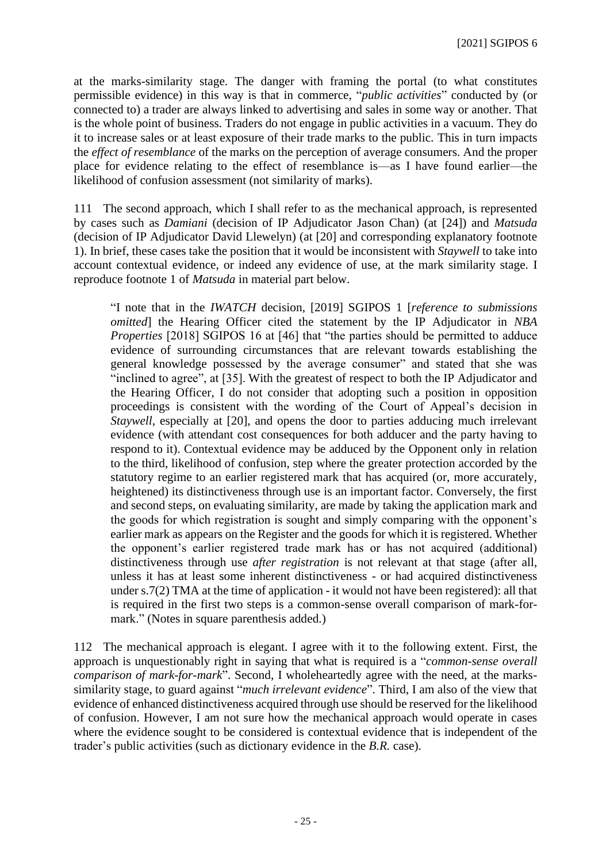at the marks-similarity stage. The danger with framing the portal (to what constitutes permissible evidence) in this way is that in commerce, "*public activities*" conducted by (or connected to) a trader are always linked to advertising and sales in some way or another. That is the whole point of business. Traders do not engage in public activities in a vacuum. They do it to increase sales or at least exposure of their trade marks to the public. This in turn impacts the *effect of resemblance* of the marks on the perception of average consumers. And the proper place for evidence relating to the effect of resemblance is—as I have found earlier—the likelihood of confusion assessment (not similarity of marks).

111 The second approach, which I shall refer to as the mechanical approach, is represented by cases such as *Damiani* (decision of IP Adjudicator Jason Chan) (at [24]) and *Matsuda*  (decision of IP Adjudicator David Llewelyn) (at [20] and corresponding explanatory footnote 1). In brief, these cases take the position that it would be inconsistent with *Staywell* to take into account contextual evidence, or indeed any evidence of use, at the mark similarity stage*.* I reproduce footnote 1 of *Matsuda* in material part below.

"I note that in the *IWATCH* decision, [2019] SGIPOS 1 [*reference to submissions omitted*] the Hearing Officer cited the statement by the IP Adjudicator in *NBA Properties* [2018] SGIPOS 16 at [46] that "the parties should be permitted to adduce evidence of surrounding circumstances that are relevant towards establishing the general knowledge possessed by the average consumer" and stated that she was "inclined to agree", at [35]. With the greatest of respect to both the IP Adjudicator and the Hearing Officer, I do not consider that adopting such a position in opposition proceedings is consistent with the wording of the Court of Appeal's decision in *Staywell*, especially at [20], and opens the door to parties adducing much irrelevant evidence (with attendant cost consequences for both adducer and the party having to respond to it). Contextual evidence may be adduced by the Opponent only in relation to the third, likelihood of confusion, step where the greater protection accorded by the statutory regime to an earlier registered mark that has acquired (or, more accurately, heightened) its distinctiveness through use is an important factor. Conversely, the first and second steps, on evaluating similarity, are made by taking the application mark and the goods for which registration is sought and simply comparing with the opponent's earlier mark as appears on the Register and the goods for which it is registered. Whether the opponent's earlier registered trade mark has or has not acquired (additional) distinctiveness through use *after registration* is not relevant at that stage (after all, unless it has at least some inherent distinctiveness - or had acquired distinctiveness under s.7(2) TMA at the time of application - it would not have been registered): all that is required in the first two steps is a common-sense overall comparison of mark-formark." (Notes in square parenthesis added.)

112 The mechanical approach is elegant. I agree with it to the following extent. First, the approach is unquestionably right in saying that what is required is a "*common-sense overall comparison of mark-for-mark*". Second, I wholeheartedly agree with the need, at the markssimilarity stage, to guard against "*much irrelevant evidence*". Third, I am also of the view that evidence of enhanced distinctiveness acquired through use should be reserved for the likelihood of confusion. However, I am not sure how the mechanical approach would operate in cases where the evidence sought to be considered is contextual evidence that is independent of the trader's public activities (such as dictionary evidence in the *B.R.* case).